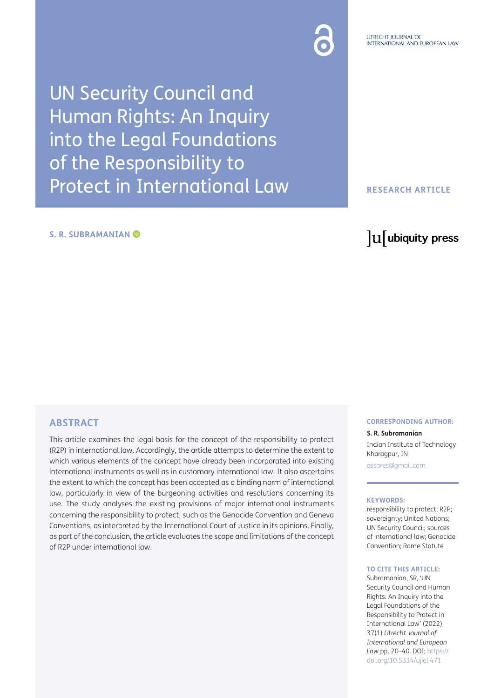UN Security Council and Human Rights: An Inquiry into the Legal Foundations of the Responsibility to Protect in International Law

#### **S. R. SUBRAMANIAN**

# **RESEARCH ARTICLE**

# lu ubiquity press

# **ABSTRACT**

This article examines the legal basis for the concept of the responsibility to protect (R2P) in international law. Accordingly, the article attempts to determine the extent to which various elements of the concept have already been incorporated into existing international instruments as well as in customary international law. It also ascertains the extent to which the concept has been accepted as a binding norm of international law, particularly in view of the burgeoning activities and resolutions concerning its use. The study analyses the existing provisions of major international instruments concerning the responsibility to protect, such as the Genocide Convention and Geneva Conventions, as interpreted by the International Court of Justice in its opinions. Finally, as part of the conclusion, the article evaluates the scope and limitations of the concept of R2P under international law.

#### **CORRESPONDING AUTHOR:**

**S. R. Subramanian** Indian Institute of Technology Kharagpur, IN [essares@gmail.com](mailto:essares@gmail.com)

#### **KEYWORDS:**

responsibility to protect; R2P; sovereignty; United Nations; UN Security Council; sources of international law; Genocide Convention; Rome Statute

#### **TO CITE THIS ARTICLE:**

Subramanian, SR, 'UN Security Council and Human Rights: An Inquiry into the Legal Foundations of the Responsibility to Protect in International Law' (2022) 37(1) *Utrecht Journal of International and European Law* pp. 20–40. DOI: [https://](https://doi.org/10.5334/ujiel.471) [doi.org/10.5334/ujiel.471](https://doi.org/10.5334/ujiel.471)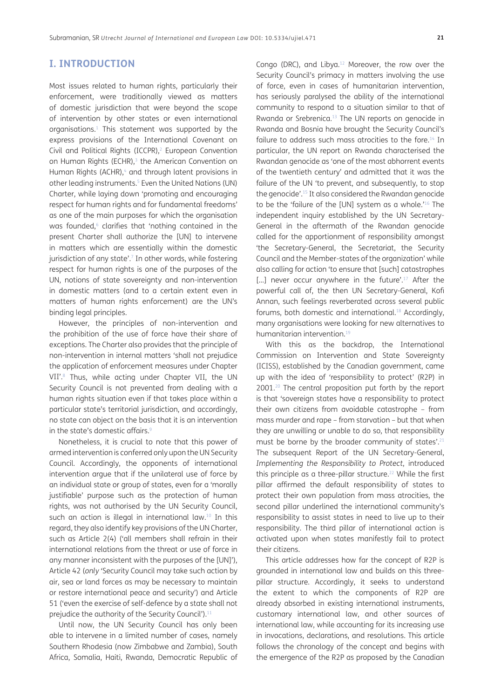# **I. INTRODUCTION**

Most issues related to human rights, particularly their enforcement, were traditionally viewed as matters of domestic jurisdiction that were beyond the scope of intervention by other states or even international organisations.[1](#page-12-0) This statement was supported by the express provisions of the International Covenant on Civil and Political Rights (ICCPR)[,2](#page-13-0) European Convention on Human Rights (ECHR),<sup>3</sup> the American Convention on Human Rights (ACHR),<sup>4</sup> and through latent provisions in other leading instruments.<sup>5</sup> Even the United Nations (UN) Charter, while laying down 'promoting and encouraging respect for human rights and for fundamental freedoms' as one of the main purposes for which the organisation was founded,<sup>6</sup> clarifies that 'nothing contained in the present Charter shall authorize the [UN] to intervene in matters which are essentially within the domestic jurisdiction of any state'.<sup>7</sup> In other words, while fostering respect for human rights is one of the purposes of the UN, notions of state sovereignty and non-intervention in domestic matters (and to a certain extent even in matters of human rights enforcement) are the UN's binding legal principles.

However, the principles of non-intervention and the prohibition of the use of force have their share of exceptions. The Charter also provides that the principle of non-intervention in internal matters 'shall not prejudice the application of enforcement measures under Chapter VII'.8 Thus, while acting under Chapter VII, the UN Security Council is not prevented from dealing with a human rights situation even if that takes place within a particular state's territorial jurisdiction, and accordingly, no state can object on the basis that it is an intervention in the state's domestic affairs.<sup>9</sup>

Nonetheless, it is crucial to note that this power of armed intervention is conferred only upon the UN Security Council. Accordingly, the opponents of international intervention argue that if the unilateral use of force by an individual state or group of states, even for a 'morally justifiable' purpose such as the protection of human rights, was not authorised by the UN Security Council, such an action is illegal in international law.<sup>10</sup> In this regard, they also identify key provisions of the UN Charter, such as Article 2(4) ('all members shall refrain in their international relations from the threat or use of force in any manner inconsistent with the purposes of the [UN]'), Article 42 (*only '*Security Council may take such action by air, sea or land forces as may be necessary to maintain or restore international peace and security') and Article 51 ('even the exercise of self-defence by a state shall not prejudice the authority of the Security Council')[.11](#page-13-6)

Until now, the UN Security Council has only been able to intervene in a limited number of cases, namely Southern Rhodesia (now Zimbabwe and Zambia), South Africa, Somalia, Haiti, Rwanda, Democratic Republic of Congo (DRC), and Libya.[12](#page-13-7) Moreover, the row over the Security Council's primacy in matters involving the use of force, even in cases of humanitarian intervention, has seriously paralysed the ability of the international community to respond to a situation similar to that of Rwanda or Srebrenica.<sup>13</sup> The UN reports on genocide in Rwanda and Bosnia have brought the Security Council's failure to address such mass atrocities to the fore. $14$  In particular, the UN report on Rwanda characterised the Rwandan genocide as 'one of the most abhorrent events of the twentieth century' and admitted that it was the failure of the UN 'to prevent, and subsequently, to stop the genocide'.[15](#page-13-10) It also considered the Rwandan genocide to be the 'failure of the [UN] system as a whole.'[16](#page-13-11) The independent inquiry established by the UN Secretary-General in the aftermath of the Rwandan genocide called for the apportionment of responsibility amongst 'the Secretary-General, the Secretariat, the Security Council and the Member-states of the organization' while also calling for action 'to ensure that [such] catastrophes [...] never occur anywhere in the future'.<sup>17</sup> After the powerful call of, the then UN Secretary-General, Kofi Annan, such feelings reverberated across several public forums, both domestic and international.<sup>18</sup> Accordingly, many organisations were looking for new alternatives to humanitarian intervention[.19](#page-13-14)

With this as the backdrop, the International Commission on Intervention and State Sovereignty (ICISS), established by the Canadian government, came up with the idea of 'responsibility to protect' (R2P) in 2001.<sup>20</sup> The central proposition put forth by the report is that 'sovereign states have a responsibility to protect their own citizens from avoidable catastrophe – from mass murder and rape – from starvation – but that when they are unwilling or unable to do so, that responsibility must be borne by the broader community of states'.<sup>[21](#page-13-16)</sup> The subsequent Report of the UN Secretary-General, *Implementing the Responsibility to Protect*, introduced this principle as a three-pillar structure.<sup>22</sup> While the first pillar affirmed the default responsibility of states to protect their own population from mass atrocities, the second pillar underlined the international community's responsibility to assist states in need to live up to their responsibility. The third pillar of international action is activated upon when states manifestly fail to protect their citizens.

This article addresses how far the concept of R2P is grounded in international law and builds on this threepillar structure. Accordingly, it seeks to understand the extent to which the components of R2P are already absorbed in existing international instruments, customary international law, and other sources of international law, while accounting for its increasing use in invocations, declarations, and resolutions. This article follows the chronology of the concept and begins with the emergence of the R2P as proposed by the Canadian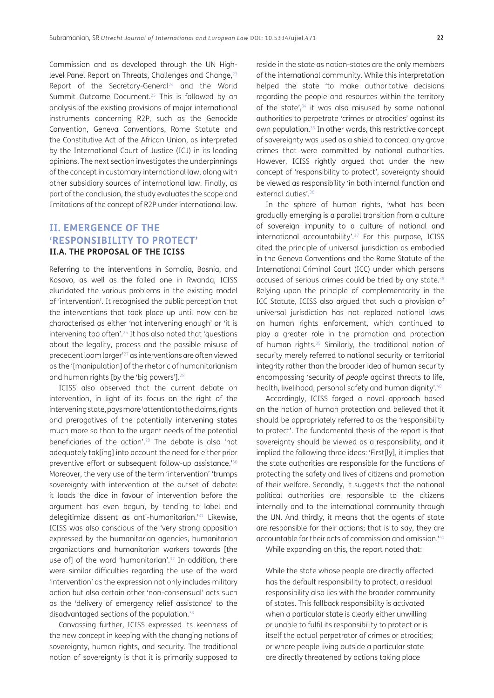Commission and as developed through the UN Highlevel Panel Report on Threats, Challenges and Change,<sup>23</sup> Report of the Secretary-General<sup>24</sup> and the World Summit Outcome Document.<sup>25</sup> This is followed by an analysis of the existing provisions of major international instruments concerning R2P, such as the Genocide Convention, Geneva Conventions, Rome Statute and the Constitutive Act of the African Union, as interpreted by the International Court of Justice (ICJ) in its leading opinions. The next section investigates the underpinnings of the concept in customary international law, along with other subsidiary sources of international law. Finally, as part of the conclusion, the study evaluates the scope and limitations of the concept of R2P under international law.

# **II. EMERGENCE OF THE 'RESPONSIBILITY TO PROTECT' II.A. THE PROPOSAL OF THE ICISS**

Referring to the interventions in Somalia, Bosnia, and Kosovo, as well as the failed one in Rwanda, ICISS elucidated the various problems in the existing model of 'intervention'. It recognised the public perception that the interventions that took place up until now can be characterised as either 'not intervening enough' or 'it is intervening too often'.<sup>26</sup> It has also noted that 'questions about the legality, process and the possible misuse of precedent loom larger['27](#page-13-22) as interventions are often viewed as the '[manipulation] of the rhetoric of humanitarianism and human rights [by the 'big powers'].<sup>[28](#page-13-23)</sup>

ICISS also observed that the current debate on intervention, in light of its focus on the right of the intervening state, pays more 'attention to the claims, rights and prerogatives of the potentially intervening states much more so than to the urgent needs of the potential beneficiaries of the action'[.29](#page-13-24) The debate is also 'not adequately tak[ing] into account the need for either prior preventive effort or subsequent follow-up assistance.['30](#page-13-25) Moreover, the very use of the term 'intervention' 'trumps sovereignty with intervention at the outset of debate: it loads the dice in favour of intervention before the argument has even begun, by tending to label and delegitimize dissent as anti-humanitarian.['31](#page-13-26) Likewise, ICISS was also conscious of the 'very strong opposition expressed by the humanitarian agencies, humanitarian organizations and humanitarian workers towards [the use of] of the word 'humanitarian'.<sup>32</sup> In addition, there were similar difficulties regarding the use of the word 'intervention' as the expression not only includes military action but also certain other 'non-consensual' acts such as the 'delivery of emergency relief assistance' to the disadvantaged sections of the population.<sup>33</sup>

Canvassing further, ICISS expressed its keenness of the new concept in keeping with the changing notions of sovereignty, human rights, and security. The traditional notion of sovereignty is that it is primarily supposed to

reside in the state as nation-states are the only members of the international community. While this interpretation helped the state 'to make authoritative decisions regarding the people and resources within the territory of the state',<sup>34</sup> it was also misused by some national authorities to perpetrate 'crimes or atrocities' against its own population.[35](#page-13-30) In other words, this restrictive concept of sovereignty was used as a shield to conceal any grave crimes that were committed by national authorities. However, ICISS rightly argued that under the new concept of 'responsibility to protect', sovereignty should be viewed as responsibility 'in both internal function and external duties'.<sup>36</sup>

In the sphere of human rights, 'what has been gradually emerging is a parallel transition from a culture of sovereign impunity to a culture of national and international accountability'.[37](#page-13-32) For this purpose, ICISS cited the principle of universal jurisdiction as embodied in the Geneva Conventions and the Rome Statute of the International Criminal Court (ICC) under which persons accused of serious crimes could be tried by any state.<sup>[38](#page-13-33)</sup> Relying upon the principle of complementarity in the ICC Statute, ICISS also argued that such a provision of universal jurisdiction has not replaced national laws on human rights enforcement, which continued to play a greater role in the promotion and protection of human rights.<sup>39</sup> Similarly, the traditional notion of security merely referred to national security or territorial integrity rather than the broader idea of human security encompassing 'security of *people* against threats to life, health, livelihood, personal safety and human dignity'.<sup>40</sup>

Accordingly, ICISS forged a novel approach based on the notion of human protection and believed that it should be appropriately referred to as the 'responsibility to protect'. The fundamental thesis of the report is that sovereignty should be viewed as a responsibility, and it implied the following three ideas: 'First[ly], it implies that the state authorities are responsible for the functions of protecting the safety and lives of citizens and promotion of their welfare. Secondly, it suggests that the national political authorities are responsible to the citizens internally and to the international community through the UN. And thirdly, it means that the agents of state are responsible for their actions; that is to say, they are accountable for their acts of commission and omission.'[41](#page-13-36)

While expanding on this, the report noted that:

While the state whose people are directly affected has the default responsibility to protect, a residual responsibility also lies with the broader community of states. This fallback responsibility is activated when a particular state is clearly either unwilling or unable to fulfil its responsibility to protect or is itself the actual perpetrator of crimes or atrocities; or where people living outside a particular state are directly threatened by actions taking place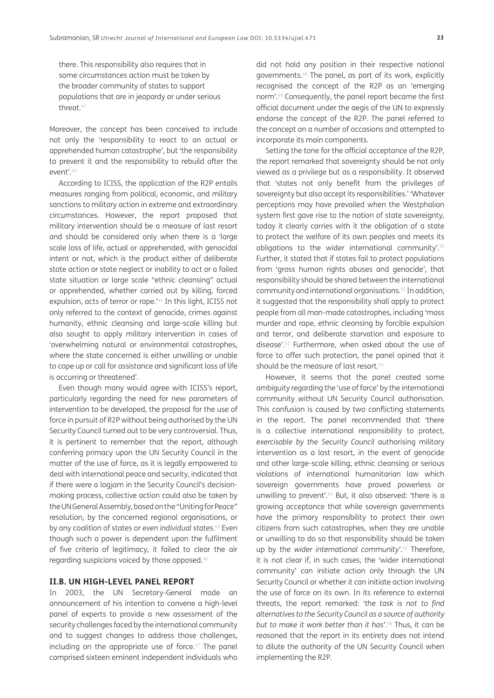there. This responsibility also requires that in some circumstances action must be taken by the broader community of states to support populations that are in jeopardy or under serious threat.[42](#page-13-37)

Moreover, the concept has been conceived to include not only the 'responsibility to react to an actual or apprehended human catastrophe', but 'the responsibility to prevent it and the responsibility to rebuild after the event'[.43](#page-13-38)

According to ICISS, the application of the R2P entails measures ranging from political, economic, and military sanctions to military action in extreme and extraordinary circumstances. However, the report proposed that military intervention should be a measure of last resort and should be considered only when there is a 'large scale loss of life, actual or apprehended, with genocidal intent or not, which is the product either of deliberate state action or state neglect or inability to act or a failed state situation or large scale "ethnic cleansing" actual or apprehended, whether carried out by killing, forced expulsion, acts of terror or rape.<sup>144</sup> In this light, ICISS not only referred to the context of genocide, crimes against humanity, ethnic cleansing and large-scale killing but also sought to apply military intervention in cases of 'overwhelming natural or environmental catastrophes, where the state concerned is either unwilling or unable to cope up or call for assistance and significant loss of life is occurring or threatened'.

Even though many would agree with ICISS's report, particularly regarding the need for new parameters of intervention to be developed, the proposal for the use of force in pursuit of R2P without being authorised by the UN Security Council turned out to be very controversial. Thus, it is pertinent to remember that the report, although conferring primacy upon the UN Security Council in the matter of the use of force, as it is legally empowered to deal with international peace and security, indicated that if there were a logjam in the Security Council's decisionmaking process, collective action could also be taken by the UN General Assembly, based on the "Uniting for Peace" resolution, by the concerned regional organisations, or by any coalition of states or *even individual states*. [45](#page-13-40) Even though such a power is dependent upon the fulfilment of five criteria of legitimacy, it failed to clear the air regarding suspicions voiced by those opposed[.46](#page-13-41)

#### **II.B. UN HIGH-LEVEL PANEL REPORT**

In 2003, the UN Secretary-General made an announcement of his intention to convene a high-level panel of experts to provide a new assessment of the security challenges faced by the international community and to suggest changes to address those challenges, including on the appropriate use of force. $47$  The panel comprised sixteen eminent independent individuals who

did not hold any position in their respective national governments[.48](#page-14-1) The panel, as part of its work, explicitly recognised the concept of the R2P as an 'emerging norm'.[49](#page-14-2) Consequently, the panel report became the first official document under the aegis of the UN to expressly endorse the concept of the R2P. The panel referred to the concept on a number of occasions and attempted to incorporate its main components.

Setting the tone for the official acceptance of the R2P, the report remarked that sovereignty should be not only viewed as a privilege but as a responsibility. It observed that 'states not only benefit from the privileges of sovereignty but also accept its responsibilities.' 'Whatever perceptions may have prevailed when the Westphalian system first gave rise to the notion of state sovereignty, today it clearly carries with it the obligation of a state to protect the welfare of its own peoples and meets its obligations to the wider international community'.<sup>[50](#page-14-3)</sup> Further, it stated that if states fail to protect populations from 'gross human rights abuses and genocide', that responsibility should be shared between the international community and international organisations[.51](#page-14-4) In addition, it suggested that the responsibility shall apply to protect people from all man-made catastrophes, including 'mass murder and rape, ethnic cleansing by forcible expulsion and terror, and deliberate starvation and exposure to disease'[.52](#page-14-5) Furthermore, when asked about the use of force to offer such protection, the panel opined that it should be the measure of last resort.<sup>53</sup>

However, it seems that the panel created some ambiguity regarding the 'use of force' by the international community without UN Security Council authorisation. This confusion is caused by two conflicting statements in the report. The panel recommended that 'there is a collective international responsibility to protect, *exercisable by the Security Council* authorising military intervention as a last resort, in the event of genocide and other large-scale killing, ethnic cleansing or serious violations of international humanitarian law which sovereign governments have proved powerless or unwilling to prevent'[.54](#page-14-7) But, it also observed: 'there is a growing acceptance that while sovereign governments have the primary responsibility to protect their own citizens from such catastrophes, when they are unable or unwilling to do so that responsibility should be taken up by the *wider international community'*. [55](#page-14-8) Therefore, it is not clear if, in such cases, the 'wider international community' can initiate action only through the UN Security Council or whether it can initiate action involving the use of force on its own. In its reference to external threats, the report remarked: '*the task is not to find alternatives to the Security Council as a source of authority but to make it work better than it has'*. [56](#page-14-9) Thus, it can be reasoned that the report in its entirety does not intend to dilute the authority of the UN Security Council when implementing the R2P.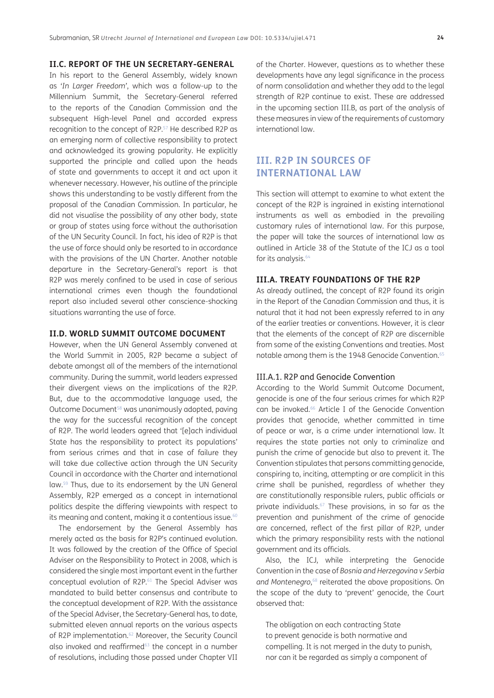# **II.C. REPORT OF THE UN SECRETARY-GENERAL**

In his report to the General Assembly, widely known as '*In Larger Freedom'*, which was a follow-up to the Millennium Summit, the Secretary-General referred to the reports of the Canadian Commission and the subsequent High-level Panel and accorded express recognition to the concept of R2P.[57](#page-14-10) He described R2P as an emerging norm of collective responsibility to protect and acknowledged its growing popularity. He explicitly supported the principle and called upon the heads of state and governments to accept it and act upon it whenever necessary. However, his outline of the principle shows this understanding to be vastly different from the proposal of the Canadian Commission. In particular, he did not visualise the possibility of any other body, state or group of states using force without the authorisation of the UN Security Council. In fact, his idea of R2P is that the use of force should only be resorted to in accordance with the provisions of the UN Charter. Another notable departure in the Secretary-General's report is that R2P was merely confined to be used in case of serious international crimes even though the foundational report also included several other conscience-shocking situations warranting the use of force.

#### **II.D. WORLD SUMMIT OUTCOME DOCUMENT**

However, when the UN General Assembly convened at the World Summit in 2005, R2P became a subject of debate amongst all of the members of the international community. During the summit, world leaders expressed their divergent views on the implications of the R2P. But, due to the accommodative language used, the Outcome Document<sup>58</sup> was unanimously adopted, paving the way for the successful recognition of the concept of R2P. The world leaders agreed that '[e]ach individual State has the responsibility to protect its populations' from serious crimes and that in case of failure they will take due collective action through the UN Security Council in accordance with the Charter and international law[.59](#page-14-12) Thus, due to its endorsement by the UN General Assembly, R2P emerged as a concept in international politics despite the differing viewpoints with respect to its meaning and content, making it a contentious issue.<sup>60</sup>

The endorsement by the General Assembly has merely acted as the basis for R2P's continued evolution. It was followed by the creation of the Office of Special Adviser on the Responsibility to Protect in 2008, which is considered the single most important event in the further conceptual evolution of R2P[.61](#page-14-14) The Special Adviser was mandated to build better consensus and contribute to the conceptual development of R2P. With the assistance of the Special Adviser, the Secretary-General has, to date, submitted eleven annual reports on the various aspects of R2P implementation.<sup>62</sup> Moreover, the Security Council also invoked and reaffirmed<sup>63</sup> the concept in a number of resolutions, including those passed under Chapter VII

of the Charter. However, questions as to whether these developments have any legal significance in the process of norm consolidation and whether they add to the legal strength of R2P continue to exist. These are addressed in the upcoming section III.B, as part of the analysis of these measures in view of the requirements of customary international law.

# **III. R2P IN SOURCES OF INTERNATIONAL LAW**

This section will attempt to examine to what extent the concept of the R2P is ingrained in existing international instruments as well as embodied in the prevailing customary rules of international law. For this purpose, the paper will take the sources of international law as outlined in Article 38 of the Statute of the ICJ as a tool for its analysis.<sup>64</sup>

# **III.A. TREATY FOUNDATIONS OF THE R2P**

As already outlined, the concept of R2P found its origin in the Report of the Canadian Commission and thus, it is natural that it had not been expressly referred to in any of the earlier treaties or conventions. However, it is clear that the elements of the concept of R2P are discernible from some of the existing Conventions and treaties. Most notable among them is the 1948 Genocide Convention.<sup>[65](#page-14-18)</sup>

#### III.A.1. R2P and Genocide Convention

According to the World Summit Outcome Document, genocide is one of the four serious crimes for which R2P can be invoked[.66](#page-14-19) Article I of the Genocide Convention provides that genocide, whether committed in time of peace or war, is a crime under international law. It requires the state parties not only to criminalize and punish the crime of genocide but also to prevent it. The Convention stipulates that persons committing genocide, conspiring to, inciting, attempting or are complicit in this crime shall be punished, regardless of whether they are constitutionally responsible rulers, public officials or private individuals.<sup>67</sup> These provisions, in so far as the prevention and punishment of the crime of genocide are concerned, reflect of the first pillar of R2P, under which the primary responsibility rests with the national government and its officials.

Also, the ICJ, while interpreting the Genocide Convention in the case of *Bosnia and Herzegovina v Serbia and Montenegro*, [68](#page-14-21) reiterated the above propositions. On the scope of the duty to 'prevent' genocide, the Court observed that:

The obligation on each contracting State to prevent genocide is both normative and compelling. It is not merged in the duty to punish, nor can it be regarded as simply a component of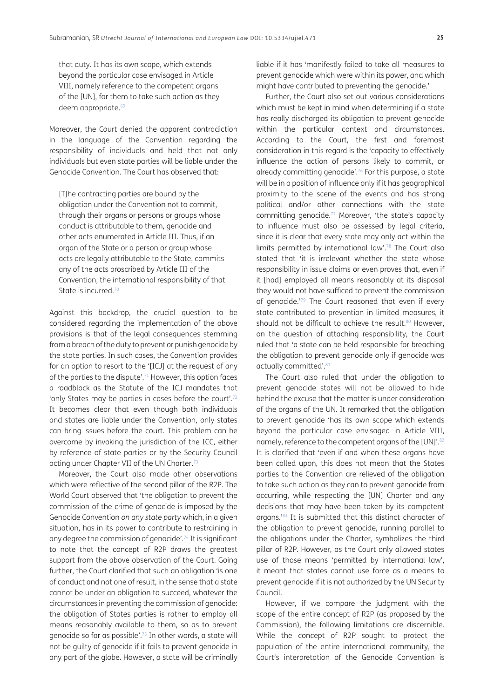that duty. It has its own scope, which extends beyond the particular case envisaged in Article VIII, namely reference to the competent organs of the [UN], for them to take such action as they deem appropriate.<sup>69</sup>

Moreover, the Court denied the apparent contradiction in the language of the Convention regarding the responsibility of individuals and held that not only individuals but even state parties will be liable under the Genocide Convention. The Court has observed that:

[T]he contracting parties are bound by the obligation under the Convention not to commit, through their organs or persons or groups whose conduct is attributable to them, genocide and other acts enumerated in Article III. Thus, if an organ of the State or a person or group whose acts are legally attributable to the State, commits any of the acts proscribed by Article III of the Convention, the international responsibility of that State is incurred.<sup>[70](#page-14-23)</sup>

Against this backdrop, the crucial question to be considered regarding the implementation of the above provisions is that of the legal consequences stemming from a breach of the duty to prevent or punish genocide by the state parties. In such cases, the Convention provides for an option to resort to the '[ICJ] at the request of any of the parties to the dispute'.[71](#page-14-24) However, this option faces a roadblock as the Statute of the ICJ mandates that 'only States may be parties in cases before the court'[.72](#page-14-25) It becomes clear that even though both individuals and states are liable under the Convention, only states can bring issues before the court. This problem can be overcome by invoking the jurisdiction of the ICC, either by reference of state parties or by the Security Council acting under Chapter VII of the UN Charter.<sup>73</sup>

Moreover, the Court also made other observations which were reflective of the second pillar of the R2P. The World Court observed that 'the obligation to prevent the commission of the crime of genocide is imposed by the Genocide Convention *on any state party* which, in a given situation, has in its power to contribute to restraining in any degree the commission of genocide'[.74](#page-14-27) It is significant to note that the concept of R2P draws the greatest support from the above observation of the Court. Going further, the Court clarified that such an obligation 'is one of conduct and not one of result, in the sense that a state cannot be under an obligation to succeed, whatever the circumstances in preventing the commission of genocide: the obligation of States parties is rather to employ all means reasonably available to them, so as to prevent genocide so far as possible'[.75](#page-14-28) In other words, a state will not be guilty of genocide if it fails to prevent genocide in any part of the globe. However, a state will be criminally liable if it has 'manifestly failed to take all measures to prevent genocide which were within its power, and which might have contributed to preventing the genocide.'

Further, the Court also set out various considerations which must be kept in mind when determining if a state has really discharged its obligation to prevent genocide within the particular context and circumstances. According to the Court, the first and foremost consideration in this regard is the 'capacity to effectively influence the action of persons likely to commit, or already committing genocide'[.76](#page-14-29) For this purpose, a state will be in a position of influence only if it has geographical proximity to the scene of the events and has strong political and/or other connections with the state committing genocide.77 Moreover, 'the state's capacity to influence must also be assessed by legal criteria, since it is clear that every state may only act within the limits permitted by international law'.78 The Court also stated that 'it is irrelevant whether the state whose responsibility in issue claims or even proves that, even if it [had] employed all means reasonably at its disposal they would not have sufficed to prevent the commission of genocide.'79 The Court reasoned that even if every state contributed to prevention in limited measures, it should not be difficult to achieve the result.<sup>80</sup> However, on the question of attaching responsibility, the Court ruled that 'a state can be held responsible for breaching the obligation to prevent genocide only if genocide was actually committed'.<sup>81</sup>

The Court also ruled that under the obligation to prevent genocide states will not be allowed to hide behind the excuse that the matter is under consideration of the organs of the UN. It remarked that the obligation to prevent genocide 'has its own scope which extends beyond the particular case envisaged in Article VIII, namely, reference to the competent organs of the [UN]'.<sup>82</sup> It is clarified that 'even if and when these organs have been called upon, this does not mean that the States parties to the Convention are relieved of the obligation to take such action as they can to prevent genocide from occurring, while respecting the [UN] Charter and any decisions that may have been taken by its competent organs.'83 It is submitted that this distinct character of the obligation to prevent genocide, running parallel to the obligations under the Charter, symbolizes the third pillar of R2P. However, as the Court only allowed states use of those means 'permitted by international law', it meant that states cannot use force as a means to prevent genocide if it is not authorized by the UN Security Council.

However, if we compare the judgment with the scope of the entire concept of R2P (as proposed by the Commission), the following limitations are discernible. While the concept of R2P sought to protect the population of the entire international community, the Court's interpretation of the Genocide Convention is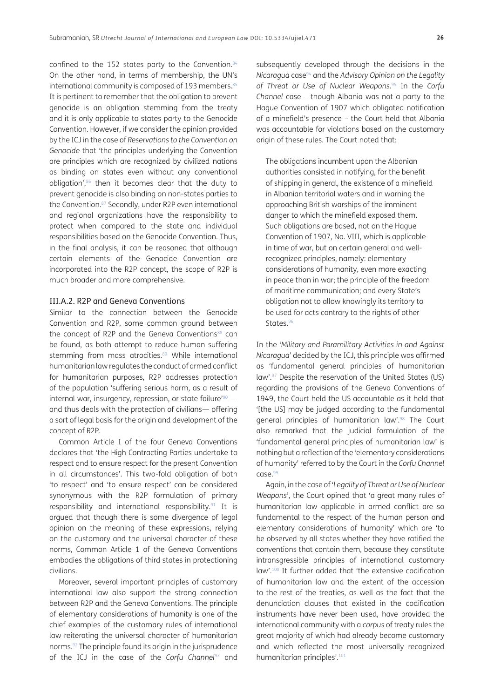confined to the 152 states party to the Convention.<sup>84</sup> On the other hand, in terms of membership, the UN's international community is composed of 193 members.<sup>85</sup> It is pertinent to remember that the obligation to prevent genocide is an obligation stemming from the treaty and it is only applicable to states party to the Genocide Convention. However, if we consider the opinion provided by the ICJ in the case of *Reservations to the Convention on Genocide* that 'the principles underlying the Convention are principles which are recognized by civilized nations as binding on states even without any conventional obligation', $86$  then it becomes clear that the duty to prevent genocide is also binding on non-states parties to the Convention.87 Secondly, under R2P even international and regional organizations have the responsibility to protect when compared to the state and individual responsibilities based on the Genocide Convention. Thus, in the final analysis, it can be reasoned that although certain elements of the Genocide Convention are incorporated into the R2P concept, the scope of R2P is much broader and more comprehensive.

#### III.A.2. R2P and Geneva Conventions

Similar to the connection between the Genocide Convention and R2P, some common ground between the concept of R2P and the Geneva Conventions<sup>88</sup> can be found, as both attempt to reduce human suffering stemming from mass atrocities.<sup>89</sup> While international humanitarian law regulates the conduct of armed conflict for humanitarian purposes, R2P addresses protection of the population 'suffering serious harm, as a result of internal war, insurgency, repression, or state failure $190 - 1$ and thus deals with the protection of civilians— offering a sort of legal basis for the origin and development of the concept of R2P.

Common Article I of the four Geneva Conventions declares that 'the High Contracting Parties undertake to respect and to ensure respect for the present Convention in all circumstances'. This two-fold obligation of both 'to respect' and 'to ensure respect' can be considered synonymous with the R2P formulation of primary responsibility and international responsibility.<sup>91</sup> It is argued that though there is some divergence of legal opinion on the meaning of these expressions, relying on the customary and the universal character of these norms, Common Article 1 of the Geneva Conventions embodies the obligations of third states in protectioning civilians.

Moreover, several important principles of customary international law also support the strong connection between R2P and the Geneva Conventions. The principle of elementary considerations of humanity is one of the chief examples of the customary rules of international law reiterating the universal character of humanitarian norms[.92](#page-14-30) The principle found its origin in the jurisprudence of the ICJ in the case of the *Corfu Channel<sup>93</sup>* and

subsequently developed through the decisions in the *Nicaragua* case94 and the *Advisory Opinion on the Legality of Threat or Use of Nuclear Weapons*. 95 In the *Corfu Channel* case – though Albania was not a party to the Hague Convention of 1907 which obligated notification of a minefield's presence – the Court held that Albania was accountable for violations based on the customary origin of these rules. The Court noted that:

The obligations incumbent upon the Albanian authorities consisted in notifying, for the benefit of shipping in general, the existence of a minefield in Albanian territorial waters and in warning the approaching British warships of the imminent danger to which the minefield exposed them. Such obligations are based, not on the Hague Convention of 1907, No. VIII, which is applicable in time of war, but on certain general and wellrecognized principles, namely: elementary considerations of humanity, even more exacting in peace than in war; the principle of the freedom of maritime communication; and every State's obligation not to allow knowingly its territory to be used for acts contrary to the rights of other States.<sup>96</sup>

In the '*Military and Paramilitary Activities in and Against Nicaragua*' decided by the ICJ, this principle was affirmed as 'fundamental general principles of humanitarian law'.97 Despite the reservation of the United States (US) regarding the provisions of the Geneva Conventions of 1949, the Court held the US accountable as it held that '[the US] may be judged according to the fundamental general principles of humanitarian law'.98 The Court also remarked that the judicial formulation of the 'fundamental general principles of humanitarian law' is nothing but a reflection of the 'elementary considerations of humanity' referred to by the Court in the *Corfu Channel*  $C$ ase $99$ 

Again, in the case of '*Legality of Threat or Use of Nuclear Weapons*', the Court opined that 'a great many rules of humanitarian law applicable in armed conflict are so fundamental to the respect of the human person and elementary considerations of humanity' which are 'to be observed by all states whether they have ratified the conventions that contain them, because they constitute intransgressible principles of international customary law'.[100](#page-15-1) It further added that 'the extensive codification of humanitarian law and the extent of the accession to the rest of the treaties, as well as the fact that the denunciation clauses that existed in the codification instruments have never been used, have provided the international community with a *corpus* of treaty rules the great majority of which had already become customary and which reflected the most universally recognized humanitarian principles'[.101](#page-15-2)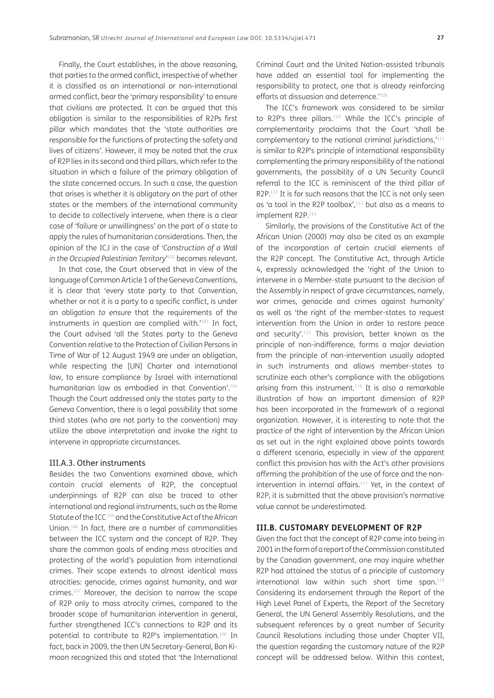Finally, the Court establishes, in the above reasoning, that parties to the armed conflict, irrespective of whether it is classified as an international or non-international armed conflict, bear the 'primary responsibility' to ensure that civilians are protected. It can be argued that this obligation is similar to the responsibilities of R2Ps first pillar which mandates that the 'state authorities are responsible for the functions of protecting the safety and lives of citizens'. However, it may be noted that the crux of R2P lies in its second and third pillars, which refer to the situation in which a failure of the primary obligation of the state concerned occurs. In such a case, the question that arises is whether it is obligatory on the part of other states or the members of the international community to decide to collectively intervene, when there is a clear case of 'failure or unwillingness' on the part of a state to apply the rules of humanitarian considerations. Then, the opinion of the ICJ in the case of '*Construction of a Wall in the Occupied Palestinian Territory'*[102](#page-15-3) becomes relevant.

In that case, the Court observed that in view of the language of Common Article 1 of the Geneva Conventions, it is clear that 'every state party to that Convention, whether or not it is a party to a specific conflict, is under an obligation *to ensure* that the requirements of the instruments in question are complied with.<sup>'103</sup> In fact, the Court advised 'all the States party to the Geneva Convention relative to the Protection of Civilian Persons in Time of War of 12 August 1949 are under an obligation, while respecting the [UN] Charter and international law, to ensure compliance by Israel with international humanitarian law as embodied in that Convention'.<sup>104</sup> Though the Court addressed only the states party to the Geneva Convention, there is a legal possibility that some third states (who are not party to the convention) may utilize the above interpretation and invoke the right to intervene in appropriate circumstances.

#### III.A.3. Other instruments

Besides the two Conventions examined above, which contain crucial elements of R2P, the conceptual underpinnings of R2P can also be traced to other international and regional instruments, such as the Rome Statute of the ICC [105](#page-15-6) and the Constitutive Act of the African Union[.106](#page-15-7) In fact, there are a number of commonalities between the ICC system and the concept of R2P. They share the common goals of ending mass atrocities and protecting of the world's population from international crimes. Their scope extends to almost identical mass atrocities: genocide, crimes against humanity, and war crimes[.107](#page-15-8) Moreover, the decision to narrow the scope of R2P only to mass atrocity crimes, compared to the broader scope of humanitarian intervention in general, further strengthened ICC's connections to R2P and its potential to contribute to R2P's implementation[.108](#page-15-9) In fact, back in 2009, the then UN Secretary-General, Ban Kimoon recognized this and stated that 'the International Criminal Court and the United Nation-assisted tribunals have added an essential tool for implementing the responsibility to protect, one that is already reinforcing efforts at dissuasion and deterrence.'[109](#page-15-10)

The ICC's framework was considered to be similar to R2P's three pillars.<sup>110</sup> While the ICC's principle of complementarity proclaims that the Court 'shall be complementary to the national criminal jurisdictions,'[111](#page-15-12) is similar to R2P's principle of international responsibility complementing the primary responsibility of the national governments, the possibility of a UN Security Council referral to the ICC is reminiscent of the third pillar of R2P.<sup>112</sup> It is for such reasons that the ICC is not only seen as 'a tool in the R2P toolbox',<sup>113</sup> but also as a means to implement R2P.<sup>114</sup>

Similarly, the provisions of the Constitutive Act of the African Union (2000) may also be cited as an example of the incorporation of certain crucial elements of the R2P concept. The Constitutive Act, through Article 4, expressly acknowledged the 'right of the Union to intervene in a Member-state pursuant to the decision of the Assembly in respect of grave circumstances, namely, war crimes, genocide and crimes against humanity' as well as 'the right of the member-states to request intervention from the Union in order to restore peace and security'.[115](#page-15-16) This provision, better known as the principle of non-indifference, forms a major deviation from the principle of non-intervention usually adopted in such instruments and allows member-states to scrutinize each other's compliance with the obligations arising from this instrument.<sup>116</sup> It is also a remarkable illustration of how an important dimension of R2P has been incorporated in the framework of a regional organization. However, it is interesting to note that the practice of the right of intervention by the African Union as set out in the right explained above points towards a different scenario, especially in view of the apparent conflict this provision has with the Act's other provisions affirming the prohibition of the use of force and the nonintervention in internal affairs.<sup>117</sup> Yet, in the context of R2P, it is submitted that the above provision's normative value cannot be underestimated.

#### **III.B. CUSTOMARY DEVELOPMENT OF R2P**

Given the fact that the concept of R2P came into being in 2001 in the form of a report of the Commission constituted by the Canadian government, one may inquire whether R2P had attained the status of a principle of customary international law within such short time span.<sup>[118](#page-15-19)</sup> Considering its endorsement through the Report of the High Level Panel of Experts, the Report of the Secretary General, the UN General Assembly Resolutions, and the subsequent references by a great number of Security Council Resolutions including those under Chapter VII, the question regarding the customary nature of the R2P concept will be addressed below. Within this context,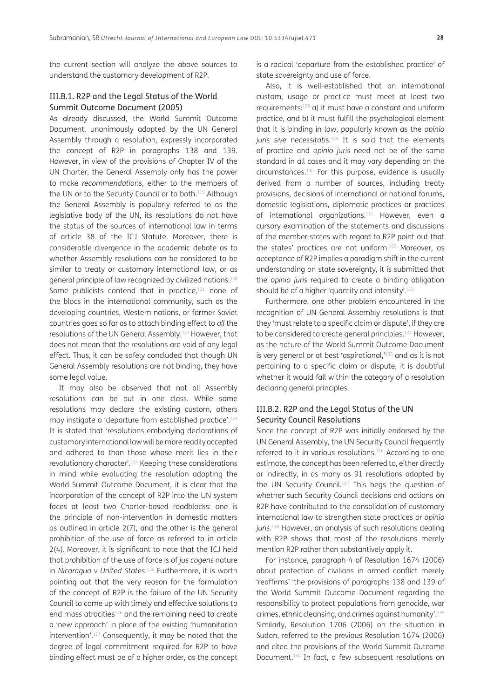the current section will analyze the above sources to understand the customary development of R2P.

#### III.B.1. R2P and the Legal Status of the World Summit Outcome Document (2005)

As already discussed, the World Summit Outcome Document, unanimously adopted by the UN General Assembly through a resolution, expressly incorporated the concept of R2P in paragraphs 138 and 139. However, in view of the provisions of Chapter IV of the UN Charter, the General Assembly only has the power to make *recommendations,* either to the members of the UN or to the Security Council or to both.<sup>119</sup> Although the General Assembly is popularly referred to as the legislative body of the UN, its resolutions do not have the status of the sources of international law in terms of article 38 of the ICJ Statute. Moreover, there is considerable divergence in the academic debate as to whether Assembly resolutions can be considered to be similar to treaty or customary international law, or as general principle of law recognized by civilized nations[.120](#page-15-21) Some publicists contend that in practice, $121$  none of the blocs in the international community, such as the developing countries, Western nations, or former Soviet countries goes so far as to attach binding effect to *all* the resolutions of the UN General Assembly[.122](#page-15-23) However, that does not mean that the resolutions are void of any legal effect. Thus, it can be safely concluded that though UN General Assembly resolutions are not binding, they have some legal value.

It may also be observed that not all Assembly resolutions can be put in one class. While some resolutions may declare the existing custom, others may instigate a 'departure from established practice'[.123](#page-15-24) It is stated that 'resolutions embodying declarations of customary international law will be more readily accepted and adhered to than those whose merit lies in their revolutionary character'[.124](#page-15-25) Keeping these considerations in mind while evaluating the resolution adopting the World Summit Outcome Document, it is clear that the incorporation of the concept of R2P into the UN system faces at least two Charter-based roadblocks: one is the principle of non-intervention in domestic matters as outlined in article 2(7), and the other is the general prohibition of the use of force as referred to in article 2(4). Moreover, it is significant to note that the ICJ held that prohibition of the use of force is of *jus cogens* nature in *Nicaragua v United States*. [125](#page-15-26) Furthermore, it is worth pointing out that the very reason for the formulation of the concept of R2P is the failure of the UN Security Council to come up with timely and effective solutions to end mass atrocities<sup>126</sup> and the remaining need to create a 'new approach' in place of the existing 'humanitarian intervention'[.127](#page-15-28) Consequently, it may be noted that the degree of legal commitment required for R2P to have binding effect must be of a higher order, as the concept

is a radical 'departure from the established practice' of state sovereignty and use of force.

Also, it is well-established that an international custom, usage or practice must meet at least two requirements:[128](#page-15-29) a) it must have a constant and uniform practice, and b) it must fulfill the psychological element that it is binding in law, popularly known as the *opinio juris sive necessitatis*. [129](#page-15-30) It is said that the elements of practice and *opinio juris* need not be of the same standard in all cases and it may vary depending on the circumstances[.130](#page-15-31) For this purpose, evidence is usually derived from a number of sources, including treaty provisions, decisions of international or national forums, domestic legislations, diplomatic practices or practices of international organizations.<sup>[131](#page-15-32)</sup> However, even a cursory examination of the statements and discussions of the member states with regard to R2P point out that the states' practices are not uniform.<sup>132</sup> Moreover, as acceptance of R2P implies a paradigm shift in the current understanding on state sovereignty, it is submitted that the *opinio juris* required to create a binding obligation should be of a higher 'quantity and intensity'.<sup>133</sup>

Furthermore, one other problem encountered in the recognition of UN General Assembly resolutions is that they 'must relate to a specific claim or dispute', if they are to be considered to create general principles.<sup>134</sup> However, as the nature of the World Summit Outcome Document is very general or at best 'aspirational,<sup>'135</sup> and as it is not pertaining to a specific claim or dispute, it is doubtful whether it would fall within the category of a resolution declaring general principles.

#### III.B.2. R2P and the Legal Status of the UN Security Council Resolutions

Since the concept of R2P was initially endorsed by the UN General Assembly, the UN Security Council frequently referred to it in various resolutions[.136](#page-16-0) According to one estimate, the concept has been referred to, either directly or indirectly, in as many as 91 resolutions adopted by the UN Security Council.<sup>137</sup> This begs the question of whether such Security Council decisions and actions on R2P have contributed to the consolidation of customary international law to strengthen state practices or *opinio juris*. [138](#page-16-2) However, an analysis of such resolutions dealing with R2P shows that most of the resolutions merely mention R2P rather than substantively apply it.

For instance, paragraph 4 of Resolution 1674 (2006) about protection of civilians in armed conflict merely 'reaffirms' 'the provisions of paragraphs 138 and 139 of the World Summit Outcome Document regarding the responsibility to protect populations from genocide, war crimes, ethnic cleansing, and crimes against humanity'.[139](#page-16-3) Similarly, Resolution 1706 (2006) on the situation in Sudan, referred to the previous Resolution 1674 (2006) and cited the provisions of the World Summit Outcome Document[.140](#page-16-4) In fact, a few subsequent resolutions on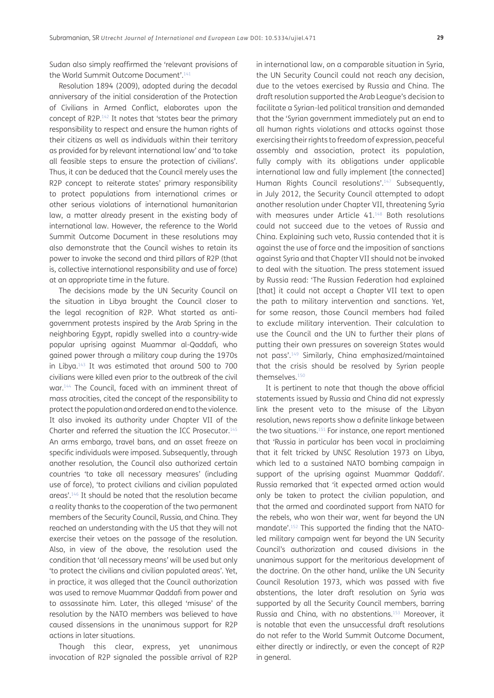Sudan also simply reaffirmed the 'relevant provisions of the World Summit Outcome Document'.<sup>141</sup>

Resolution 1894 (2009), adopted during the decadal anniversary of the initial consideration of the Protection of Civilians in Armed Conflict, elaborates upon the concept of R2P[.142](#page-16-6) It notes that 'states bear the primary responsibility to respect and ensure the human rights of their citizens as well as individuals within their territory as provided for by relevant international law' and 'to take all feasible steps to ensure the protection of civilians'. Thus, it can be deduced that the Council merely uses the R2P concept to reiterate states' primary responsibility to protect populations from international crimes or other serious violations of international humanitarian law, a matter already present in the existing body of international law. However, the reference to the World Summit Outcome Document in these resolutions may also demonstrate that the Council wishes to retain its power to invoke the second and third pillars of R2P (that is, collective international responsibility and use of force) at an appropriate time in the future.

The decisions made by the UN Security Council on the situation in Libya brought the Council closer to the legal recognition of R2P. What started as antigovernment protests inspired by the Arab Spring in the neighboring Egypt, rapidly swelled into a country-wide popular uprising against Muammar al-Qaddafi, who gained power through a military coup during the 1970s in Libya[.143](#page-16-7) It was estimated that around 500 to 700 civilians were killed even prior to the outbreak of the civil war.[144](#page-16-8) The Council, faced with an imminent threat of mass atrocities, cited the concept of the responsibility to protect the population and ordered an end to the violence. It also invoked its authority under Chapter VII of the Charter and referred the situation the ICC Prosecutor[.145](#page-16-9) An arms embargo, travel bans, and an asset freeze on specific individuals were imposed. Subsequently, through another resolution, the Council also authorized certain countries 'to take all necessary measures' (including use of force), 'to protect civilians and civilian populated areas'.[146](#page-16-10) It should be noted that the resolution became a reality thanks to the cooperation of the two permanent members of the Security Council, Russia, and China. They reached an understanding with the US that they will not exercise their vetoes on the passage of the resolution. Also, in view of the above, the resolution used the condition that 'all necessary means' will be used but only 'to protect the civilians and civilian populated areas'. Yet, in practice, it was alleged that the Council authorization was used to remove Muammar Qaddafi from power and to assassinate him. Later, this alleged 'misuse' of the resolution by the NATO members was believed to have caused dissensions in the unanimous support for R2P actions in later situations.

Though this clear, express, yet unanimous invocation of R2P signaled the possible arrival of R2P in international law, on a comparable situation in Syria, the UN Security Council could not reach any decision, due to the vetoes exercised by Russia and China. The draft resolution supported the Arab League's decision to facilitate a Syrian-led political transition and demanded that the 'Syrian government immediately put an end to all human rights violations and attacks against those exercising their rights to freedom of expression, peaceful assembly and association, protect its population, fully comply with its obligations under applicable international law and fully implement [the connected] Human Rights Council resolutions'.<sup>147</sup> Subsequently, in July 2012, the Security Council attempted to adopt another resolution under Chapter VII, threatening Syria with measures under Article 41.<sup>148</sup> Both resolutions could not succeed due to the vetoes of Russia and China. Explaining such veto, Russia contended that it is against the use of force and the imposition of sanctions against Syria and that Chapter VII should not be invoked to deal with the situation. The press statement issued by Russia read: 'The Russian Federation had explained [that] it could not accept a Chapter VII text to open the path to military intervention and sanctions. Yet, for some reason, those Council members had failed to exclude military intervention. Their calculation to use the Council and the UN to further their plans of putting their own pressures on sovereign States would not pass'.[149](#page-16-13) Similarly, China emphasized/maintained that the crisis should be resolved by Syrian people themselves.[150](#page-16-14)

It is pertinent to note that though the above official statements issued by Russia and China did not expressly link the present veto to the misuse of the Libyan resolution, news reports show a definite linkage between the two situations.[151](#page-16-15) For instance, one report mentioned that 'Russia in particular has been vocal in proclaiming that it felt tricked by UNSC Resolution 1973 on Libya, which led to a sustained NATO bombing campaign in support of the uprising against Muammar Qaddafi'. Russia remarked that 'it expected armed action would only be taken to protect the civilian population, and that the armed and coordinated support from NATO for the rebels, who won their war, went far beyond the UN mandate'[.152](#page-16-16) This supported the finding that the NATOled military campaign went far beyond the UN Security Council's authorization and caused divisions in the unanimous support for the meritorious development of the doctrine. On the other hand, unlike the UN Security Council Resolution 1973, which was passed with five abstentions, the later draft resolution on Syria was supported by all the Security Council members, barring Russia and China, with no abstentions[.153](#page-16-17) Moreover, it is notable that even the unsuccessful draft resolutions do not refer to the World Summit Outcome Document, either directly or indirectly, or even the concept of R2P in general.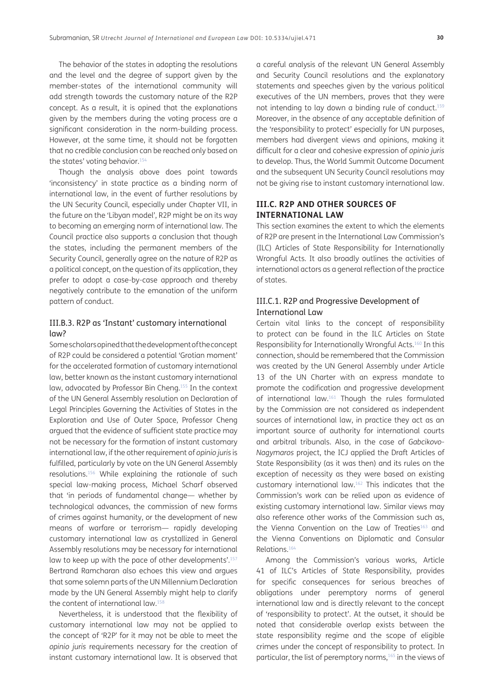The behavior of the states in adopting the resolutions and the level and the degree of support given by the member-states of the international community will add strength towards the customary nature of the R2P concept. As a result, it is opined that the explanations given by the members during the voting process are a significant consideration in the norm-building process. However, at the same time, it should not be forgotten that no credible conclusion can be reached only based on the states' voting behavior.<sup>154</sup>

Though the analysis above does point towards 'inconsistency' in state practice as a binding norm of international law, in the event of further resolutions by the UN Security Council, especially under Chapter VII, in the future on the 'Libyan model', R2P might be on its way to becoming an emerging norm of international law. The Council practice also supports a conclusion that though the states, including the permanent members of the Security Council, generally agree on the nature of R2P as a political concept, on the question of its application, they prefer to adopt a case-by-case approach and thereby negatively contribute to the emanation of the uniform pattern of conduct.

# III.B.3. R2P as 'Instant' customary international law?

Some scholars opined that the development of the concept of R2P could be considered a potential 'Grotian moment' for the accelerated formation of customary international law, better known as the instant customary international law, advocated by Professor Bin Cheng[.155](#page-16-19) In the context of the UN General Assembly resolution on Declaration of Legal Principles Governing the Activities of States in the Exploration and Use of Outer Space, Professor Cheng argued that the evidence of sufficient state practice may not be necessary for the formation of instant customary international law, if the other requirement of *opinio juris* is fulfilled, particularly by vote on the UN General Assembly resolutions.[156](#page-16-20) While explaining the rationale of such special law-making process, Michael Scharf observed that 'in periods of fundamental change— whether by technological advances, the commission of new forms of crimes against humanity, or the development of new means of warfare or terrorism— rapidly developing customary international law as crystallized in General Assembly resolutions may be necessary for international law to keep up with the pace of other developments'.<sup>157</sup> Bertrand Ramcharan also echoes this view and argues that some solemn parts of the UN Millennium Declaration made by the UN General Assembly might help to clarify the content of international law.<sup>158</sup>

Nevertheless, it is understood that the flexibility of customary international law may not be applied to the concept of 'R2P' for it may not be able to meet the *opinio juris* requirements necessary for the creation of instant customary international law. It is observed that

a careful analysis of the relevant UN General Assembly and Security Council resolutions and the explanatory statements and speeches given by the various political executives of the UN members, proves that they were not intending to lay down a binding rule of conduct.[159](#page-16-23) Moreover, in the absence of any acceptable definition of the 'responsibility to protect' especially for UN purposes, members had divergent views and opinions, making it difficult for a clear and cohesive expression of *opinio juris* to develop. Thus, the World Summit Outcome Document and the subsequent UN Security Council resolutions may not be giving rise to instant customary international law.

### **III.C. R2P AND OTHER SOURCES OF INTERNATIONAL LAW**

This section examines the extent to which the elements of R2P are present in the International Law Commission's (ILC) Articles of State Responsibility for Internationally Wrongful Acts. It also broadly outlines the activities of international actors as a general reflection of the practice of states.

#### III.C.1. R2P and Progressive Development of International Law

Certain vital links to the concept of responsibility to protect can be found in the ILC Articles on State Responsibility for Internationally Wrongful Acts.<sup>160</sup> In this connection, should be remembered that the Commission was created by the UN General Assembly under Article 13 of the UN Charter with an express mandate to promote the codification and progressive development of international law[.161](#page-16-25) Though the rules formulated by the Commission are not considered as independent sources of international law, in practice they act as an important source of authority for international courts and arbitral tribunals. Also, in the case of *Gabcikovo-Nagymaros* project, the ICJ applied the Draft Articles of State Responsibility (as it was then) and its rules on the exception of necessity as they were based on existing customary international law[.162](#page-16-26) This indicates that the Commission's work can be relied upon as evidence of existing customary international law. Similar views may also reference other works of the Commission such as, the Vienna Convention on the Law of Treaties<sup>163</sup> and the Vienna Conventions on Diplomatic and Consular Relations.[164](#page-16-28)

Among the Commission's various works, Article 41 of ILC's Articles of State Responsibility, provides for specific consequences for serious breaches of obligations under peremptory norms of general international law and is directly relevant to the concept of 'responsibility to protect'. At the outset, it should be noted that considerable overlap exists between the state responsibility regime and the scope of eligible crimes under the concept of responsibility to protect. In particular, the list of peremptory norms,<sup>165</sup> in the views of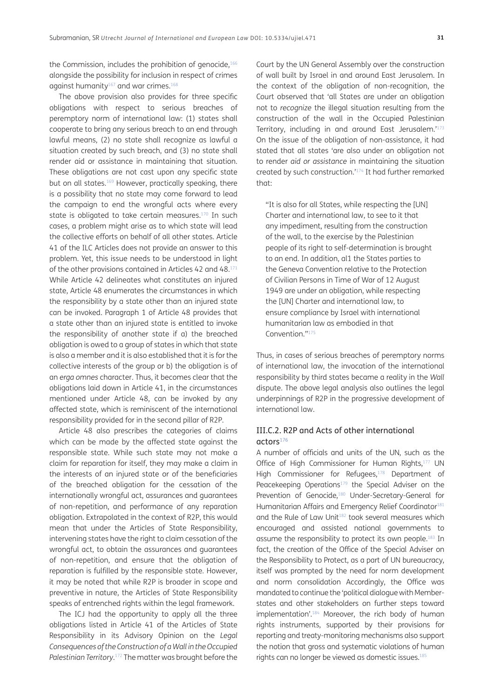the Commission, includes the prohibition of genocide,<sup>166</sup> alongside the possibility for inclusion in respect of crimes against humanity<sup>167</sup> and war crimes.<sup>[168](#page-17-0)</sup>

The above provision also provides for three specific obligations with respect to serious breaches of peremptory norm of international law: (1) states shall cooperate to bring any serious breach to an end through lawful means, (2) no state shall recognize as lawful a situation created by such breach, and (3) no state shall render aid or assistance in maintaining that situation. These obligations are not cast upon any specific state but on all states.<sup>169</sup> However, practically speaking, there is a possibility that no state may come forward to lead the campaign to end the wrongful acts where every state is obligated to take certain measures.<sup>170</sup> In such cases, a problem might arise as to which state will lead the collective efforts on behalf of all other states. Article 41 of the ILC Articles does not provide an answer to this problem. Yet, this issue needs to be understood in light of the other provisions contained in Articles 42 and 48.<sup>171</sup> While Article 42 delineates what constitutes an injured state, Article 48 enumerates the circumstances in which the responsibility by a state other than an injured state can be invoked. Paragraph 1 of Article 48 provides that a state other than an injured state is entitled to invoke the responsibility of another state if a) the breached obligation is owed to a group of states in which that state is also a member and it is also established that it is for the collective interests of the group or b) the obligation is of an *erga omnes* character. Thus, it becomes clear that the obligations laid down in Article 41, in the circumstances mentioned under Article 48, can be invoked by any affected state, which is reminiscent of the international responsibility provided for in the second pillar of R2P.

Article 48 also prescribes the categories of claims which can be made by the affected state against the responsible state. While such state may not make a claim for reparation for itself, they may make a claim in the interests of an injured state or of the beneficiaries of the breached obligation for the cessation of the internationally wrongful act, assurances and guarantees of non-repetition, and performance of any reparation obligation. Extrapolated in the context of R2P, this would mean that under the Articles of State Responsibility, intervening states have the right to claim cessation of the wrongful act, to obtain the assurances and guarantees of non-repetition, and ensure that the obligation of reparation is fulfilled by the responsible state. However, it may be noted that while R2P is broader in scope and preventive in nature, the Articles of State Responsibility speaks of entrenched rights within the legal framework.

The ICJ had the opportunity to apply all the three obligations listed in Article 41 of the Articles of State Responsibility in its Advisory Opinion on the *Legal Consequences of the Construction of a Wall in the Occupied Palestinian Territory*. [172](#page-17-4) The matter was brought before the

Court by the UN General Assembly over the construction of wall built by Israel in and around East Jerusalem. In the context of the obligation of non-recognition, the Court observed that 'all States are under an obligation not to *recognize* the illegal situation resulting from the construction of the wall in the Occupied Palestinian Territory, including in and around East Jerusalem.'[173](#page-17-5) On the issue of the obligation of non-assistance, it had stated that all states 'are also under an obligation not to render *aid or assistance* in maintaining the situation created by such construction.['174](#page-17-6) It had further remarked that:

"It is also for all States, while respecting the [UN] Charter and international law, to see to it that any impediment, resulting from the construction of the wall, to the exercise by the Palestinian people of its right to self-determination is brought to an end. In addition, al1 the States parties to the Geneva Convention relative to the Protection of Civilian Persons in Time of War of 12 August 1949 are under an obligation, while respecting the [UN] Charter and international law, to ensure compliance by Israel with international humanitarian law as embodied in that Convention.["175](#page-17-7)

Thus, in cases of serious breaches of peremptory norms of international law, the invocation of the international responsibility by third states became a reality in the *Wall* dispute. The above legal analysis also outlines the legal underpinnings of R2P in the progressive development of international law.

# III.C.2. R2P and Acts of other international actor[s176](#page-17-8)

A number of officials and units of the UN, such as the Office of High Commissioner for Human Rights,<sup>177</sup> UN High Commissioner for Refugees,<sup>178</sup> Department of Peacekeeping Operations<sup>179</sup> the Special Adviser on the Prevention of Genocide,<sup>[180](#page-17-12)</sup> Under-Secretary-General for Humanitarian Affairs and Emergency Relief Coordinator<sup>[181](#page-17-13)</sup> and the Rule of Law Unit<sup>[182](#page-17-14)</sup> took several measures which encouraged and assisted national governments to assume the responsibility to protect its own people.[183](#page-17-15) In fact, the creation of the Office of the Special Adviser on the Responsibility to Protect, as a part of UN bureaucracy, itself was prompted by the need for norm development and norm consolidation Accordingly, the Office was mandated to continue the 'political dialogue with Memberstates and other stakeholders on further steps toward implementation'[.184](#page-17-16) Moreover, the rich body of human rights instruments, supported by their provisions for reporting and treaty-monitoring mechanisms also support the notion that gross and systematic violations of human rights can no longer be viewed as domestic issues.<sup>[185](#page-17-17)</sup>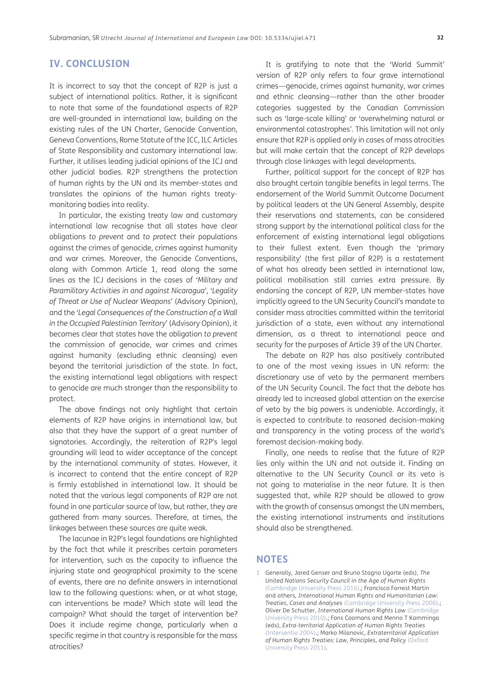# **IV. CONCLUSION**

It is incorrect to say that the concept of R2P is just a subject of international politics. Rather, it is significant to note that some of the foundational aspects of R2P are well-grounded in international law, building on the existing rules of the UN Charter, Genocide Convention, Geneva Conventions, Rome Statute of the ICC, ILC Articles of State Responsibility and customary international law. Further, it utilises leading judicial opinions of the ICJ and other judicial bodies. R2P strengthens the protection of human rights by the UN and its member-states and translates the opinions of the human rights treatymonitoring bodies into reality.

In particular, the existing treaty law and customary international law recognise that all states have clear obligations *to prevent* and *to protect* their populations against the crimes of genocide, crimes against humanity and war crimes. Moreover, the Genocide Conventions, along with Common Article 1, read along the same lines as the ICJ decisions in the cases of '*Military and Paramilitary Activities in and against Nicaragua*', '*Legality of Threat or Use of Nuclear Weapons*' (Advisory Opinion), and the '*Legal Consequences of the Construction of a Wall in the Occupied Palestinian Territory*' (Advisory Opinion), it becomes clear that states have the obligation *to prevent* the commission of genocide, war crimes and crimes against humanity (excluding ethnic cleansing) even beyond the territorial jurisdiction of the state. In fact, the existing international legal obligations with respect to genocide are much stronger than the responsibility to protect.

The above findings not only highlight that certain elements of R2P have origins in international law, but also that they have the support of a great number of signatories. Accordingly, the reiteration of R2P's legal grounding will lead to wider acceptance of the concept by the international community of states. However, it is incorrect to contend that the entire concept of R2P is firmly established in international law. It should be noted that the various legal components of R2P are not found in one particular source of law, but rather, they are gathered from many sources. Therefore, at times, the linkages between these sources are quite weak.

The lacunae in R2P's legal foundations are highlighted by the fact that while it prescribes certain parameters for intervention, such as the capacity to influence the injuring state and geographical proximity to the scene of events, there are no definite answers in international law to the following questions: when, or at what stage, can interventions be made? Which state will lead the campaign? What should the target of intervention be? Does it include regime change, particularly when a specific regime in that country is responsible for the mass atrocities?

It is gratifying to note that the 'World Summit' version of R2P only refers to four grave international crimes—genocide, crimes against humanity, war crimes and ethnic cleansing—rather than the other broader categories suggested by the Canadian Commission such as 'large-scale killing' or 'overwhelming natural or environmental catastrophes'. This limitation will not only ensure that R2P is applied only in cases of mass atrocities but will make certain that the concept of R2P develops through close linkages with legal developments.

Further, political support for the concept of R2P has also brought certain tangible benefits in legal terms. The endorsement of the World Summit Outcome Document by political leaders at the UN General Assembly, despite their reservations and statements, can be considered strong support by the international political class for the enforcement of existing international legal obligations to their fullest extent. Even though the 'primary responsibility' (the first pillar of R2P) is a restatement of what has already been settled in international law, political mobilisation still carries extra pressure. By endorsing the concept of R2P, UN member-states have implicitly agreed to the UN Security Council's mandate to consider mass atrocities committed within the territorial jurisdiction of a state, even without any international dimension, as a threat to international peace and security for the purposes of Article 39 of the UN Charter.

The debate on R2P has also positively contributed to one of the most vexing issues in UN reform: the discretionary use of veto by the permanent members of the UN Security Council. The fact that the debate has already led to increased global attention on the exercise of veto by the big powers is undeniable. Accordingly, it is expected to contribute to reasoned decision-making and transparency in the voting process of the world's foremost decision-making body.

Finally, one needs to realise that the future of R2P lies only within the UN and not outside it. Finding an alternative to the UN Security Council or its veto is not going to materialise in the near future. It is then suggested that, while R2P should be allowed to grow with the growth of consensus amongst the UN members, the existing international instruments and institutions should also be strengthened.

#### **NOTES**

<span id="page-12-0"></span>1 Generally, Jared Genser and Bruno Stagno Ugarte (eds), *The United Nations Security Council in the Age of Human Rights* (Cambridge University Press 2016).; Francisco Forrest Martin and others*, International Human Rights and Humanitarian Law: Treaties, Cases and Analyses* (Cambridge University Press 2006).; Oliver De Schutter, *International Human Rights Law* (Cambridge University Press 2010).; Fons Coomans and Menno T Kamminga (eds), *Extra-territorial Application of Human Rights Treaties* (Intersentia 2004).; Marko Milanovic, *Extraterritorial Application of Human Rights Treaties: Law, Principles, and Policy* (Oxford University Press 2011).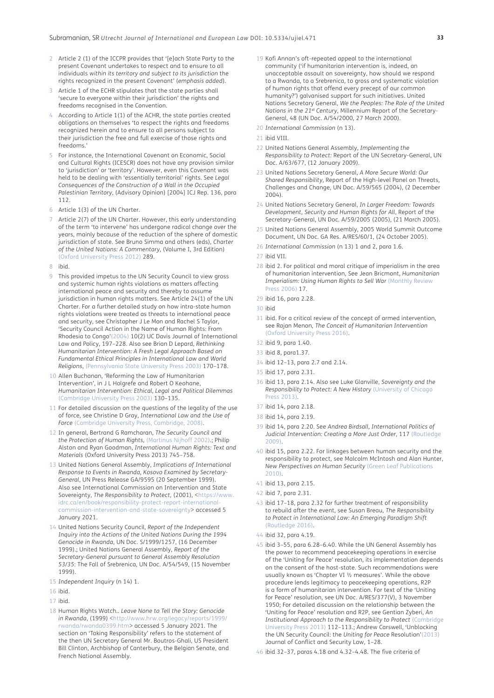- <span id="page-13-0"></span>2 Article 2 (1) of the ICCPR provides that '[e]ach State Party to the present Covenant undertakes to respect and to ensure to all individuals *within its territory and subject to its jurisdiction* the rights recognized in the present Covenant' (*emphasis added*).
- <span id="page-13-1"></span>Article 1 of the ECHR stipulates that the state parties shall 'secure to everyone within their jurisdiction' the rights and freedoms recognised in the Convention.
- <span id="page-13-2"></span>4 According to Article 1(1) of the ACHR, the state parties created obligations on themselves 'to respect the rights and freedoms recognized herein and to ensure to all persons subject to their jurisdiction the free and full exercise of those rights and freedoms.'
- <span id="page-13-3"></span>5 For instance, the International Covenant on Economic, Social and Cultural Rights (ICESCR) does not have any provision similar to 'jurisdiction' or 'territory'. However, even this Covenant was held to be dealing with 'essentially territorial' rights. See *Legal Consequences of the Construction of a Wall in the Occupied Palestinian Territory*, (Advisory Opinion) [2004] ICJ Rep. 136, para 112.
- <span id="page-13-4"></span>6 Article 1(3) of the UN Charter.
- <span id="page-13-5"></span>Article 2(7) of the UN Charter. However, this early understanding of the term 'to intervene' has undergone radical change over the years, mainly because of the reduction of the sphere of domestic jurisdiction of state. See Bruno Simma and others (eds), *Charter of the United Nations: A Commentary*, (Volume I, 3rd Edition) (Oxford University Press 2012) 289.
- 8 ibid.
- 9 This provided impetus to the UN Security Council to view gross and systemic human rights violations as matters affecting international peace and security and thereby to assume jurisdiction in human rights matters. See Article 24(1) of the UN Charter. For a further detailed study on how intra-state human rights violations were treated as threats to international peace and security, see Christopher J Le Mon and Rachel S Taylor, 'Security Council Action in the Name of Human Rights: From Rhodesia to Congo'[\(2004](#page-18-0)) 10(2) UC Davis Journal of International Law and Policy, 197–228. Also see Brian D Lepard, *Rethinking Humanitarian Intervention: A Fresh Legal Approach Based on Fundamental Ethical Principles in International Law and World Religions*, (Pennsylvania State University Press 2003) 170–178.
- 10 Allen Buchanan, 'Reforming the Law of Humanitarian Intervention', in J L Holgrefe and Robert O Keohane, *Humanitarian Intervention: Ethical, Legal and Political Dilemmas*  ([Cambridge University Press 2003](#page-18-1)) 130–135.
- <span id="page-13-6"></span>11 For detailed discussion on the questions of the legality of the use of force, see Christine D Gray, *International Law and the Use of Force* (Cambridge University Press, Cambridge, 2008).
- <span id="page-13-7"></span>12 In general, Bertrand G Ramcharan, *The Security Council and the Protection of Human Rights,* (Martinus Nijhoff 2002).; Philip Alston and Ryan Goodman, *International Human Rights: Text and Materials* (Oxford University Press 2013) 745–758.
- <span id="page-13-8"></span>13 United Nations General Assembly, *Implications of International Response to Events in Rwanda, Kosovo Examined by Secretary-General*, UN Press Release GA/9595 (20 September 1999). Also see International Commission on Intervention and State Sovereignty, *The Responsibility to Protect*, (2001), <[https://www.](https://www.idrc.ca/en/book/responsibility-protect-report-international-commission-intervention-and-state-sovereignty) [idrc.ca/en/book/responsibility-protect-report-international](https://www.idrc.ca/en/book/responsibility-protect-report-international-commission-intervention-and-state-sovereignty)[commission-intervention-and-state-sovereignty>](https://www.idrc.ca/en/book/responsibility-protect-report-international-commission-intervention-and-state-sovereignty) accessed 5 January 2021.
- <span id="page-13-9"></span>14 United Nations Security Council, *Report of the Independent Inquiry into the Actions of the United Nations During the 1994 Genocide in Rwanda*, UN Doc. S/1999/1257, (16 December 1999).; United Nations General Assembly, *Report of the Secretary-General pursuant to General Assembly Resolution 53/35*: The Fall of Srebrenica, UN Doc. A/54/549, (15 November 1999).
- <span id="page-13-10"></span>15 *Independent Inquiry* (n 14) 1.
- <span id="page-13-11"></span>16 ibid.
- <span id="page-13-12"></span>17 ibid.
- <span id="page-13-13"></span>18 Human Rights Watch.. *Leave None to Tell the Story: Genocide in Rwanda*, (1999) <[http://www.hrw.org/legacy/reports/1999/](http://www.hrw.org/legacy/reports/1999/rwanda/rwanda0399.htm) [rwanda/rwanda0399.htm>](http://www.hrw.org/legacy/reports/1999/rwanda/rwanda0399.htm) accessed 5 January 2021. The section on 'Taking Responsibility' refers to the statement of the then UN Secretary General Mr. Boutros-Ghali, US President Bill Clinton, Archbishop of Canterbury, the Belgian Senate, and French National Assembly.
- <span id="page-13-14"></span>19 Kofi Annan's oft-repeated appeal to the international community ('if humanitarian intervention is, indeed, an unacceptable assault on sovereignty, how should we respond to a Rwanda, to a Srebrenica, to gross and systematic violation of human rights that offend every precept of our common humanity?') galvanised support for such initiatives. United Nations Secretary General, *We the Peoples: The Role of the United Nations in the 21st Century*, Millennium Report of the Secretary-General, 48 (UN Doc. A/54/2000, 27 March 2000).
- <span id="page-13-15"></span>20 *International Commission* (n 13).
- <span id="page-13-16"></span>21 ibid VIII.
- <span id="page-13-17"></span>22 United Nations General Assembly, *Implementing the Responsibility to Protect:* Report of the UN Secretary-General, UN Doc. A/63/677, (12 January 2009).
- <span id="page-13-18"></span>23 United Nations Secretary General, *A More Secure World: Our Shared Responsibility*, Report of the High-level Panel on Threats, Challenges and Change, UN Doc. A/59/565 (2004), (2 December 2004).
- <span id="page-13-19"></span>24 United Nations Secretary General, *In Larger Freedom: Towards Development, Security and Human Rights for All*, Report of the Secretary-General, UN Doc. A/59/2005 (2005), (21 March 2005).
- <span id="page-13-20"></span>25 United Nations General Assembly, 2005 World Summit Outcome Document, UN Doc. GA Res. A/RES/60/1, (24 October 2005).
- <span id="page-13-21"></span>26 *International Commission* (n 13) 1 and 2, para 1.6.
- <span id="page-13-22"></span>27 ibid VII.
- <span id="page-13-23"></span>28 ibid 2. For political and moral critique of imperialism in the area of humanitarian intervention, See Jean Bricmont, *Humanitarian Imperialism: Using Human Rights to Sell War* (Monthly Review Press 2006) 17.
- <span id="page-13-24"></span>29 ibid 16, para 2.28.
- <span id="page-13-25"></span>30 ibid
- <span id="page-13-26"></span>31 ibid. For a critical review of the concept of armed intervention, see Rajan Menon, *The Conceit of Humanitarian Intervention* (Oxford University Press 2016).
- <span id="page-13-27"></span>32 ibid 9, para 1.40.
- <span id="page-13-28"></span>33 ibid 8, para1.37.
- <span id="page-13-29"></span>34 ibid 12–13, para 2.7 and 2.14.
- <span id="page-13-30"></span>35 ibid 17, para 2.31.
- <span id="page-13-31"></span>36 ibid 13, para 2.14. Also see Luke Glanville, *Sovereignty and the Responsibility to Protect: A New History* (University of Chicago Press 2013).
- <span id="page-13-32"></span>37 ibid 14, para 2.18.
- <span id="page-13-33"></span>38 ibid 14, para 2.19.
- <span id="page-13-34"></span>39 ibid 14, para 2.20. See *Andrea Birdsall, International Politics of Judicial Intervention: Creating a More Just Order*, 117 (Routledge 2009).
- <span id="page-13-35"></span>40 ibid 15, para 2.22. For linkages between human security and the responsibility to protect, see Malcolm McIntosh and Alan Hunter, *New Perspectives on Human Security* (Green Leaf Publications 2010).
- <span id="page-13-36"></span>41 ibid 13, para 2.15.
- <span id="page-13-37"></span>42 ibid 7, para 2.31.
- <span id="page-13-38"></span>43 ibid 17–18, para 2.32 for further treatment of responsibility to rebuild after the event, see Susan Breau, *The Responsibility to Protect in International Law: An Emerging Paradigm Shift* (Routledge 2016).
- <span id="page-13-39"></span>44 ibid 32, para 4.19.
- <span id="page-13-40"></span>45 ibid 3–55, para 6.28–6.40. While the UN General Assembly has the power to recommend peacekeeping operations in exercise of the 'Uniting for Peace' resolution, its implementation depends on the consent of the host-state. Such recommendations were usually known as 'Chapter VI ½ measures'. While the above procedure lends legitimacy to peacekeeping operations, R2P is a form of humanitarian intervention. For text of the 'Uniting for Peace' resolution, see UN Doc. A/RES/377(V), 3 November 1950; For detailed discussion on the relationship between the 'Uniting for Peace' resolution and R2P, see Gentian Zyberi, *An Institutional Approach to the Responsibility to Protect* (Cambridge University Press 2013) 112–113.; Andrew Carswell, 'Unblocking the UN Security Council: the *Uniting for Peace* Resolution'([2013\)](#page-18-2) Journal of Conflict and Security Law, 1–28.
- <span id="page-13-41"></span>46 ibid 32–37, paras 4.18 and 4.32–4.48. The five criteria of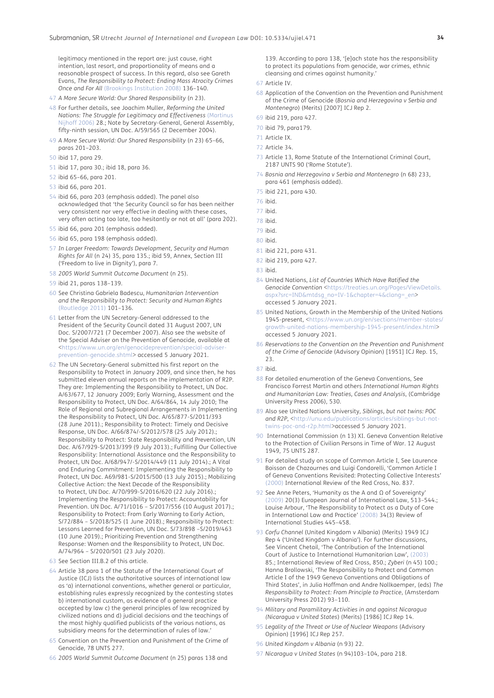legitimacy mentioned in the report are: just cause, right intention, last resort, and proportionality of means and a reasonable prospect of success. In this regard, also see Gareth Evans, *The Responsibility to Protect: Ending Mass Atrocity Crimes Once and For All* (Brookings Institution 2008) 136–140.

- <span id="page-14-0"></span>47 *A More Secure World: Our Shared Responsibility* (n 23).
- <span id="page-14-1"></span>48 For further details, see Joachim Muller, *Reforming the United Nations: The Struggle for Legitimacy and Effectiveness* [\(Martinus](#page-19-0)  [Nijhoff 2006\)](#page-19-0) 28.; Note by Secretary-General, General Assembly, fifty-ninth session, UN Doc. A/59/565 (2 December 2004).
- <span id="page-14-2"></span>49 *A More Secure World: Our Shared Responsibility* (n 23) 65–66, paras 201–203.
- <span id="page-14-3"></span>50 ibid 17, para 29.
- <span id="page-14-4"></span>51 ibid 17, para 30.; ibid 18, para 36.
- <span id="page-14-5"></span>52 ibid 65–66, para 201.
- <span id="page-14-6"></span>53 ibid 66, para 201.
- <span id="page-14-7"></span>54 ibid 66, para 203 (emphasis added). The panel also acknowledged that 'the Security Council so far has been neither very consistent nor very effective in dealing with these cases, very often acting too late, too hesitantly or not at all' (para 202).
- <span id="page-14-8"></span>55 ibid 66, para 201 (emphasis added).
- <span id="page-14-9"></span>56 ibid 65, para 198 (emphasis added).
- <span id="page-14-10"></span>57 *In Larger Freedom: Towards Development, Security and Human Rights for All* (n 24) 35, para 135.; ibid 59, Annex, Section III ('Freedom to live in Dignity'), para 7.
- <span id="page-14-11"></span>58 *2005 World Summit Outcome Document* (n 25).
- <span id="page-14-12"></span>59 ibid 21, paras 138–139.
- <span id="page-14-13"></span>60 See Christina Gabriela Badescu, *Humanitarian Intervention and the Responsibility to Protect: Security and Human Rights* (Routledge 2011) 101–136.
- <span id="page-14-14"></span>61 Letter from the UN Secretary-General addressed to the President of the Security Council dated 31 August 2007, UN Doc. S/2007/721 (7 December 2007). Also see the website of the Special Adviser on the Prevention of Genocide, available at <[https://www.un.org/en/genocideprevention/special-adviser](https://www.un.org/en/genocideprevention/special-adviser-prevention-genocide.shtml)[prevention-genocide.shtml>](https://www.un.org/en/genocideprevention/special-adviser-prevention-genocide.shtml) accessed 5 January 2021.
- <span id="page-14-15"></span>62 The UN Secretary-General submitted his first report on the Responsibility to Protect in January 2009, and since then, he has submitted eleven annual reports on the implementation of R2P. They are: Implementing the Responsibility to Protect, UN Doc. A/63/677, 12 January 2009; Early Warning, Assessment and the Responsibility to Protect, UN Doc. A/64/864, 14 July 2010; The Role of Regional and Subregional Arrangements in Implementing the Responsibility to Protect, UN Doc. A/65/877-S/2011/393 (28 June 2011).; Responsibility to Protect: Timely and Decisive Response, UN Doc. A/66/874/-S/2012/578 (25 July 2012).; Responsibility to Protect: State Responsibility and Prevention, UN Doc. A/67/929-S/2013/399 (9 July 2013).; Fulfilling Our Collective Responsibility: International Assistance and the Responsibility to Protect, UN Doc. A/68/947/-S/2014/449 (11 July 2014).; A Vital and Enduring Commitment: Implementing the Responsibility to Protect, UN Doc. A69/981-S/2015/500 (13 July 2015).; Mobilizing Collective Action: the Next Decade of the Responsibility to Protect, UN Doc. A/70/999-S/2016/620 (22 July 2016).; Implementing the Responsibility to Protect: Accountability for Prevention. UN Doc. A/71/1016 – S/2017/556 (10 August 2017).; Responsibility to Protect: From Early Warning to Early Action, S/72/884 – S/2018/525 (1 June 2018).; Responsibility to Protect: Lessons Learned for Prevention, UN Doc. S/73/898 –S/2019/463 (10 June 2019).; Prioritizing Prevention and Strengthening Response: Women and the Responsibility to Protect, UN Doc. A/74/964 – S/2020/501 (23 July 2020).
- <span id="page-14-16"></span>63 See Section III.B.2 of this article.
- <span id="page-14-17"></span>64 Article 38 para 1 of the Statute of the International Court of Justice (ICJ) lists the authoritative sources of international law as 'a) international conventions, whether general or particular, establishing rules expressly recognized by the contesting states b) international custom, as evidence of a general practice accepted by law c) the general principles of law recognized by civilized nations and d) judicial decisions and the teachings of the most highly qualified publicists of the various nations, as subsidiary means for the determination of rules of law.'
- <span id="page-14-18"></span>65 Convention on the Prevention and Punishment of the Crime of Genocide, 78 UNTS 277.
- <span id="page-14-19"></span>66 *2005 World Summit Outcome Document* (n 25) paras 138 and

139. According to para 138, '[e]ach state has the responsibility to protect its populations from genocide, war crimes, ethnic cleansing and crimes against humanity.'

- <span id="page-14-20"></span>67 Article IV.
- <span id="page-14-21"></span>68 Application of the Convention on the Prevention and Punishment of the Crime of Genocide (*Bosnia and Herzegovina v Serbia and Montenegro*) (Merits) [2007] ICJ Rep 2.
- <span id="page-14-22"></span>69 ibid 219, para 427.
- <span id="page-14-23"></span>70 ibid 79, para179.
- <span id="page-14-24"></span>71 Article IX.
- <span id="page-14-25"></span>72 Article 34.
- <span id="page-14-26"></span>73 Article 13, Rome Statute of the International Criminal Court, 2187 UNTS 90 ('Rome Statute').
- <span id="page-14-27"></span>74 *Bosnia and Herzegovina v Serbia and Montenegro* (n 68) 233, para 461 (emphasis added).
- <span id="page-14-28"></span>75 ibid 221, para 430.
- <span id="page-14-29"></span>76 ibid.
- 77 ibid.
- 78 ibid.
- 79 ibid.
- 80 ibid.
- 
- 81 ibid 221, para 431. 82 ibid 219, para 427.
- 
- 83 ibid.
- 84 United Nations, *List of Countries Which Have Ratified the Genocide Convention* <[https://treaties.un.org/Pages/ViewDetails.](https://treaties.un.org/Pages/ViewDetails.aspx?src=IND&mtdsg_no=IV-1&chapter=4&clang=_en) [aspx?src=IND&mtdsg\\_no=IV-1&chapter=4&clang=\\_en](https://treaties.un.org/Pages/ViewDetails.aspx?src=IND&mtdsg_no=IV-1&chapter=4&clang=_en)> accessed 5 January 2021.
- 85 United Nations, Growth in the Membership of the United Nations 1945-present, <[https://www.un.org/en/sections/member-states/](https://www.un.org/en/sections/member-states/growth-united-nations-membership-1945-present/index.html) [growth-united-nations-membership-1945-present/index.html>](https://www.un.org/en/sections/member-states/growth-united-nations-membership-1945-present/index.html) accessed 5 January 2021.
- 86 *Reservations to the Convention on the Prevention and Punishment of the Crime of Genocide* (Advisory Opinion) [1951] ICJ Rep. 15, 23.
- 87 ibid.
- 88 For detailed enumeration of the Geneva Conventions, See Francisco Forrest Martin and others *International Human Rights and Humanitarian Law: Treaties, Cases and Analysis*, (Cambridge University Press 2006), 530.
- 89 Also see United Nations University, *Siblings, but not twins: POC*  and R2P, [<http://unu.edu/publications/articles/siblings-but-not](http://unu.edu/publications/articles/siblings-but-not-twins-poc-and-r2p.html)[twins-poc-and-r2p.html>](http://unu.edu/publications/articles/siblings-but-not-twins-poc-and-r2p.html)accessed 5 January 2021.
- 90 International Commission (n 13) XI. Geneva Convention Relative to the Protection of Civilian Persons in Time of War. 12 August 1949, 75 UNTS 287.
- 91 For detailed study on scope of Common Article I, See Laurence Boisson de Chazournes and Luigi Condorelli, 'Common Article I of Geneva Conventions Revisited: Protecting Collective Interests' 2000) International Review of the Red Cross, No. 837.
- <span id="page-14-30"></span>92 See Anne Peters, 'Humanity as the A and Ω of Sovereignty' [\(2009](#page-19-1)) 20(3) European Journal of International Law, 513–544.; Louise Arbour, 'The Responsibility to Protect as a Duty of Care in International Law and Practice' [\(2008](#page-17-18)) 34(3) Review of International Studies 445–458.
- <span id="page-14-31"></span>93 *Corfu Channel* (United Kingdom v Albania) (Merits) 1949 ICJ Rep 4 ('United Kingdom v Albania'). For further discussions, See Vincent Chetail, 'The Contribution of the International Court of Justice to International Humanitarian Law', ([2003](#page-18-4)) 85.; International Review of Red Cross, 850.; *Zyberi* (n 45) 100.; Hanna Brollowski, 'The Responsibility to Protect and Common Article I of the 1949 Geneva Conventions and Obligations of Third States', in Julia Hoffman and Andre Nollkaemper, (eds) *The Responsibility to Protect: From Principle to Practice*, (Amsterdam University Press 2012) 93–110.
- 94 *Military and Paramilitary Activities in and against Nicaragua (Nicaragua v United States*) (Merits) [1986] ICJ Rep 14.
- 95 *Legality of the Threat or Use of Nuclear Weapons* (Advisory Opinion) [1996] ICJ Rep 257.
- 96 *United Kingdom v Albania* (n 93) 22.
- 97 *Nicaragua v United States* (n 94)103–104, para 218.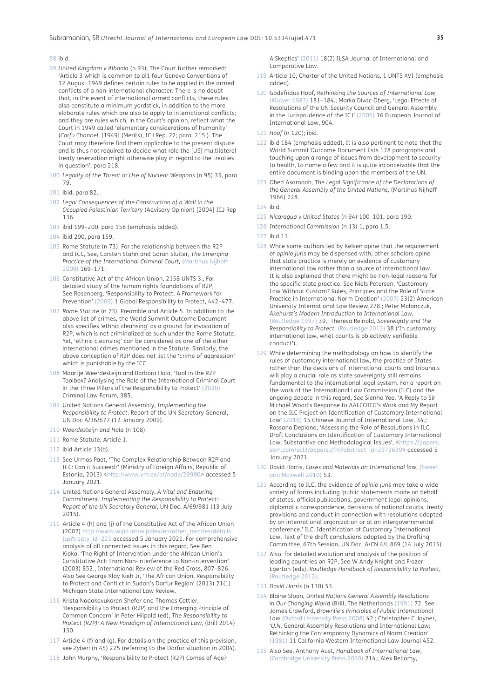#### 98 ibid.

- <span id="page-15-0"></span>99 *United Kingdom v Albania* (n 93). The Court further remarked: 'Article 3 which is common to al1 four Geneva Conventions of 12 August 1949 defines certain rules to be applied in the armed conflicts of a non-international character. There is no doubt that, in the event of international armed conflicts, these rules also constitute a minimum yardstick, in addition to the more elaborate rules which are also to apply to international conflicts; and they are rules which, in the Court's opinion, reflect what the Court in 1949 called 'elementary considerations of humanity' (*Corfu Channel*, [1949] (Merits), ICJ Rep. 22; para. 215 ). The Court may therefore find them applicable to the present dispute and is thus not required to decide what role the [US] multilateral treaty reservation might otherwise play in regard to the treaties in question', para 218.
- <span id="page-15-1"></span>100 *Legality of the Threat or Use of Nuclear Weapons* (n 95) 35, para 79.
- <span id="page-15-2"></span>101 ibid. para 82.
- <span id="page-15-3"></span>102 *Legal Consequences of the Construction of a Wall in the Occupied Palestinian Territory* (Advisory Opinion) [2004] ICJ Rep 136.
- <span id="page-15-4"></span>103 ibid 199–200, para 158 (emphasis added).
- <span id="page-15-5"></span>104 ibid 200, para 159.
- <span id="page-15-6"></span>105 Rome Statute (n 73). For the relationship between the R2P and ICC, See, Carsten Stahn and Goran Sluiter, *The Emerging Practice of the International Criminal Court,* (Martinus Nijhoff 2009) 169–171.
- <span id="page-15-7"></span>106 Constitutive Act of the African Union, 2158 UNTS 3.; For detailed study of the human rights foundations of R2P, See Rosenberg, 'Responsibility to Protect: A Framework for Prevention' ([2009\)](#page-19-2) 1 Global Responsibility to Protect, 442–477.
- <span id="page-15-8"></span>107 *Rome Statute* (n 73), Preamble and Article 5. In addition to the above list of crimes, the World Summit Outcome Document also specifies 'ethnic cleansing' as a ground for invocation of R2P, which is not criminalized as such under the Rome Statute. Yet, 'ethnic cleansing' can be considered as one of the other international crimes mentioned in the Statute. Similarly, the above conception of R2P does not list the 'crime of aggression' which is punishable by the ICC.
- <span id="page-15-9"></span>108 Maartje Weerdesteijn and Barbora Hola, 'Tool in the R2P Toolbox? Analysing the Role of the International Criminal Court in the Three Pillars of the Responsibility to Protect' ([2020](#page-19-3)) Criminal Law Forum, 385.
- <span id="page-15-10"></span>109 United Nations General Assembly, *Implementing the Responsibility to Protect*: Report of the UN Secretary General, UN Doc A/36/677 (12 January 2009).
- <span id="page-15-11"></span>110 *Weerdesteijn and Hola* (n 108).
- <span id="page-15-12"></span>111 Rome Statute, Article 1.
- <span id="page-15-13"></span>112 ibid Article 13(b).
- <span id="page-15-14"></span>113 See Urmas Paet, 'The Complex Relationship Between R2P and ICC: Can it Succeed?' (Ministry of Foreign Affairs, Republic of Estonia, 2013) [<http://www.vm.ee/et/node/29990>](http://www.vm.ee/et/node/29990) accessed 5 January 2021.
- <span id="page-15-15"></span>114 United Nations General Assembly, *A Vital and Enduring Commitment: Implementing the Responsibility to Protect: Report of the UN Secretary General*, UN Doc. A/69/981 (13 July 2015).
- <span id="page-15-16"></span>115 Article 4 (h) and (j) of the Constitutive Act of the African Union (2002) http://www.wipo.int/wipolex/en/other\_treaties/detail [jsp?treaty\\_id=221](http://www.wipo.int/wipolex/en/other_treaties/details.jsp?treaty_id=221) accessed 5 January 2021. For comprehensive analysis of all connected issues in this regard, See Ben Kioko, 'The Right of Intervention under the African Union's Constitutive Act: From Non-interference to Non-intervention' (2003) 852.; International Review of the Red Cross, 807–826. Also See George Klay Kieh Jr, 'The African Union, Responsibility to Protect and Conflict in Sudan's Darfur Region' (2013) 21(1) Michigan State International Law Review.
- <span id="page-15-17"></span>116 Krista Nadakavukaren Shefer and Thomas Cottier, 'Responsibility to Protect (R2P) and the Emerging Principle of Common Concern' in Peter Hilpold (ed), *The Responsibility to Protect (R2P): A New Paradigm of International Law*, (Brill 2014) 130.
- <span id="page-15-18"></span>117 Article 4 (f) and (g). For details on the practice of this provision, see *Zyberi* (n 45) 225 (referring to the Darfur situation in 2004).
- <span id="page-15-19"></span>118 John Murphy, 'Responsibility to Protect (R2P) Comes of Age?

A Skeptics' ([2011\)](#page-19-4) 18(2) ILSA Journal of International and Comparative Law.

- <span id="page-15-20"></span>119 Article 10, Charter of the United Nations, 1 UNTS XVI (emphasis added).
- <span id="page-15-21"></span>120 Godefridus Hoof, *Rethinking the Sources of International Law*, (Kluwer 1983) 181–184.; Marko Divac Öberg, 'Legal Effects of Resolutions of the UN Security Council and General Assembly in the Jurisprudence of the ICJ' ([2005](#page-19-5)) 16 European Journal of International Law, 904.
- <span id="page-15-22"></span>121 *Hoof* (n 120); ibid.
- <span id="page-15-23"></span>122 ibid 184 (emphasis added). It is also pertinent to note that the World Summit Outcome Document lists 178 paragraphs and touching upon a range of issues from development to security to health, to name a few and it is quite inconceivable that the entire document is binding upon the members of the UN.
- <span id="page-15-24"></span>123 Obed Asamoah, *The Legal Significance of the Declarations of the General Assembly of the United Nations*, (Martinus Nijhoff 1966) 228.
- <span id="page-15-25"></span>124 ibid.
- <span id="page-15-26"></span>125 *Nicaragua v United States* (n 94) 100–101, para 190.
- <span id="page-15-27"></span>126 *International Commission* (n 13) 1, para 1.5.
- <span id="page-15-28"></span>127 ibid 11.
- <span id="page-15-29"></span>128 While some authors led by Kelsen opine that the requirement of *opinio juris* may be dispensed with, other scholars opine that state practice is merely an evidence of customary international law rather than a source of international law. It is also explained that there might be non-legal reasons for the specific state practice. See Niels Petersen, 'Customary Law Without Custom? Rules, Principles and the Role of State Practice in International Norm Creation' ([2007](#page-19-6)) 23(2) American University International Law Review,278.; Peter Malanczuk, *Akehurst's Modern Introduction to International Law*, [\(Routledge 1997\)](#page-19-7) 39.; Theresa Reinold, *Sovereignty and the Responsibility to Protect,* (Routledge 2013) 38 ('In customary international law, what counts is objectively verifiable conduct').
- <span id="page-15-30"></span>129 While determining the methodology on how to identify the rules of customary international law, the practice of States rather than the decisions of international courts and tribunals will play a crucial role as state sovereignty still remains fundamental to the international legal system. For a report on the work of the International Law Commission (ILC) and the ongoing debate in this regard, *See* Sienho Yee, 'A Reply to Sir Michael Wood's Response to AALCOIEG's Work and My Report on the ILC Project on Identification of Customary International Law' ([2016](#page-19-8)) 15 Chinese Journal of International Law, 34.; Rossana Deplano, 'Assessing the Role of Resolutions in ILC Draft Conclusions on Identification of Customary International Law: Substantive and Methodological Issues', <https://paper. [ssrn.com/sol3/papers.cfm?abstract\\_id=2972639](https://papers.ssrn.com/sol3/papers.cfm?abstract_id=2972639)> accessed 5 January 2021.
- <span id="page-15-31"></span>130 David Harris, *Cases and Materials on International law*, (Sweet and Maxwell 2010) 53.
- <span id="page-15-32"></span>131 According to ILC, the evidence of *opinio juris* may take a wide variety of forms including 'public statements made on behalf of states, official publications, government legal opinions, diplomatic correspondence, decisions of national courts, treaty provisions and conduct in connection with resolutions adopted by an international organization or at an intergovernmental conference.' ILC, Identification of Customary International Law, Text of the draft conclusions adopted by the Drafting Committee, 67th Session, UN Doc. A/CN.4/L.869 (14 July 2015).
- <span id="page-15-33"></span>132 Also, for detailed evolution and analysis of the position of leading countries on R2P, See W Andy Knight and Frazer Egerton (eds), *Routledge Handbook of Responsibility to Protect*, (Routledge 2012).
- <span id="page-15-34"></span>133 *David Harris* (n 130) 53.
- <span id="page-15-35"></span>134 Blaine Sloan, *United Nations General Assembly Resolutions in Our Changing World* (Brill, The Netherlands (1991) 72. See James Crawford, *Brownlie's Principles of Public International Law* [\(Oxford University Press 2008](#page-18-5)) 42.; Christopher C Joyner, '*U.N.* General Assembly Resolutions and International Law: Rethinking the Contemporary Dynamics of Norm Creation' [\(1981](#page-18-6)) 11 California Western International Law Journal 452.
- <span id="page-15-36"></span>135 Also See, Anthony Aust, *Handbook of International Law*, (Cambridge University Press 2010) 214.; Alex Bellamy,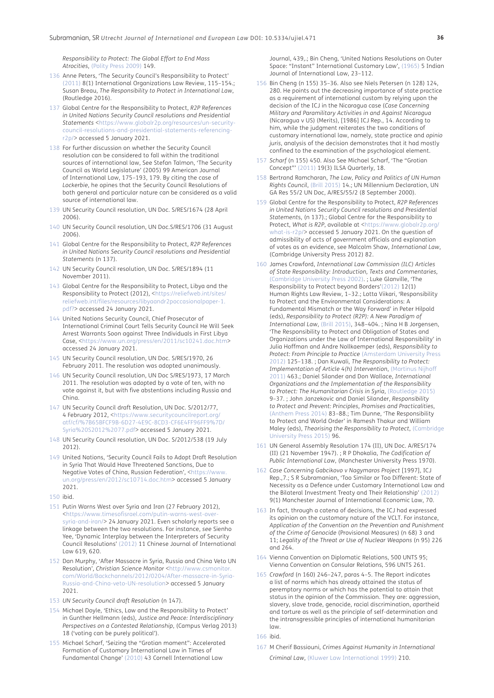*Responsibility to Protect: The Global Effort to End Mass Atrocities*, (Polity Press 2009) 149.

- <span id="page-16-0"></span>136 Anne Peters, 'The Security Council's Responsibility to Protect' ([2011\)](#page-19-9) 8(1) International Organizations Law Review, 115–154.; Susan Breau, *The Responsibility to Protect in International Law*, (Routledge 2016).
- <span id="page-16-1"></span>137 Global Centre for the Responsibility to Protect, *R2P References in United Nations Security Council resolutions and Presidential Statements* [<https://www.globalr2p.org/resources/un-security](https://www.globalr2p.org/resources/un-security-council-resolutions-and-presidential-statements-referencing-r2p/)[council-resolutions-and-presidential-statements-referencing](https://www.globalr2p.org/resources/un-security-council-resolutions-and-presidential-statements-referencing-r2p/)[r2p/](https://www.globalr2p.org/resources/un-security-council-resolutions-and-presidential-statements-referencing-r2p/)> accessed 5 January 2021.
- <span id="page-16-2"></span>138 For further discussion on whether the Security Council resolution can be considered to fall within the traditional sources of international law, See Stefan Talmon, 'The Security Council as World Legislature' (2005) 99 American Journal of International Law, 175–193, 179. By citing the case of *Lockerbie*, he opines that the Security Council Resolutions of both general and particular nature can be considered as a valid source of international law.
- <span id="page-16-3"></span>139 UN Security Council resolution, UN Doc. S/RES/1674 (28 April 2006).
- <span id="page-16-4"></span>140 UN Security Council resolution, UN Doc.S/RES/1706 (31 August 2006).
- <span id="page-16-5"></span>141 Global Centre for the Responsibility to Protect, *R2P References in United Nations Security Council resolutions and Presidential Statements* (n 137).
- <span id="page-16-6"></span>142 UN Security Council resolution, UN Doc. S/RES/1894 (11 November 2011).
- <span id="page-16-7"></span>143 Global Centre for the Responsibility to Protect, Libya and the Responsibility to Protect (2012), <[https://reliefweb.int/sites/](https://reliefweb.int/sites/reliefweb.int/files/resources/libyaandr2poccasionalpaper-1.pdf?) [reliefweb.int/files/resources/libyaandr2poccasionalpaper-1.](https://reliefweb.int/sites/reliefweb.int/files/resources/libyaandr2poccasionalpaper-1.pdf?) [pdf?>](https://reliefweb.int/sites/reliefweb.int/files/resources/libyaandr2poccasionalpaper-1.pdf?) accessed 24 January 2021.
- <span id="page-16-8"></span>144 United Nations Security Council, Chief Prosecutor of International Criminal Court Tells Security Council He Will Seek Arrest Warrants Soon against Three Individuals in First Libya Case, <<https://www.un.org/press/en/2011/sc10241.doc.htm>> accessed 24 January 2021.
- <span id="page-16-9"></span>145 UN Security Council resolution, UN Doc. S/RES/1970, 26 February 2011. The resolution was adopted unanimously.
- <span id="page-16-10"></span>146 UN Security Council resolution, UN Doc S/RES/1973, 17 March 2011. The resolution was adopted by a vote of ten, with no vote against it, but with five abstentions including Russia and China.
- <span id="page-16-11"></span>147 UN Security Council draft Resolution, UN Doc. S/2012/77, 4 February 2012, [<https://www.securitycouncilreport.org/](https://www.securitycouncilreport.org/atf/cf/%7B65BFCF9B-6D27-4E9C-8CD3-CF6E4FF96FF9%7D/Syria%20S2012%2077.pdf>) [atf/cf/%7B65BFCF9B-6D27-4E9C-8CD3-CF6E4FF96FF9%7D/](https://www.securitycouncilreport.org/atf/cf/%7B65BFCF9B-6D27-4E9C-8CD3-CF6E4FF96FF9%7D/Syria%20S2012%2077.pdf>) [Syria%20S2012%2077.pdf](https://www.securitycouncilreport.org/atf/cf/%7B65BFCF9B-6D27-4E9C-8CD3-CF6E4FF96FF9%7D/Syria%20S2012%2077.pdf>)> accessed 5 January 2021.
- <span id="page-16-12"></span>148 UN Security Council resolution, UN Doc. S/2012/538 (19 July 2012).
- <span id="page-16-13"></span>149 United Nations, 'Security Council Fails to Adopt Draft Resolution in Syria That Would Have Threatened Sanctions, Due to Negative Votes of China, Russian Federation', [<https://www.](https://www.un.org/press/en/2012/sc10714.doc.htm) [un.org/press/en/2012/sc10714.doc.htm](https://www.un.org/press/en/2012/sc10714.doc.htm)> accessed 5 January 2021.
- <span id="page-16-14"></span>150 ibid.
- <span id="page-16-15"></span>151 Putin Warns West over Syria and Iran (27 February 2012), <[https://www.timesofisrael.com/putin-warns-west-over](https://www.timesofisrael.com/putin-warns-west-over-syria-and-iran/)[syria-and-iran/>](https://www.timesofisrael.com/putin-warns-west-over-syria-and-iran/) 24 January 2021. Even scholarly reports see a linkage between the two resolutions. For instance, *see* Sienho Yee, 'Dynamic Interplay between the Interpreters of Security Council Resolutions' ([2012\)](#page-19-10) 11 Chinese Journal of International Law 619, 620.
- <span id="page-16-16"></span>152 Dan Murphy, 'After Massacre in Syria, Russia and China Veto UN Resolution'*, Christian Science Monitor* <[http://www.csmonitor.](http://www.csmonitor.com/World/Backchannels/2012/0204/After-massacre-in-Syria-Russia-and-China-veto-UN-resolution) [com/World/Backchannels/2012/0204/After-massacre-in-Syria-](http://www.csmonitor.com/World/Backchannels/2012/0204/After-massacre-in-Syria-Russia-and-China-veto-UN-resolution)[Russia-and-China-veto-UN-resolution>](http://www.csmonitor.com/World/Backchannels/2012/0204/After-massacre-in-Syria-Russia-and-China-veto-UN-resolution) accessed 5 January 2021.
- <span id="page-16-17"></span>153 *UN Security Council draft Resolution* (n 147).
- <span id="page-16-18"></span>154 Michael Doyle, 'Ethics, Law and the Responsibility to Protect*'* in Gunther Hellmann (eds), *Justice and Peace: Interdisciplinary Perspectives on a Contested Relationship*, (Campus Verlag 2013) 18 ('voting can be purely political').
- <span id="page-16-19"></span>155 Michael Scharf, 'Seizing the "Grotian moment": Accelerated Formation of Customary International Law in Times of Fundamental Change' ([2010\)](#page-19-11) 43 Cornell International Law

Journal, 439,.; Bin Cheng, 'United Nations Resolutions on Outer Space: "Instant" International Customary Law', ([1965](#page-18-7)) 5 Indian Journal of International Law, 23–112.

- <span id="page-16-20"></span>156 Bin Cheng (n 155) 35–36. Also see Niels Petersen (n 128) 124, 280. He points out the decreasing importance of state practice as a requirement of international custom by relying upon the decision of the ICJ in the Nicaragua case (*Case Concerning Military and Paramilitary Activities in and Against Nicaragua* (Nicaragua v US) (Merits), [1986] ICJ Rep., 14. According to him, while the judgment reiterates the two conditions of customary international law, namely, state practice and *opinio juris*, analysis of the decision demonstrates that it had mostly confined to the examination of the psychological element.
- <span id="page-16-21"></span>157 *Scharf* (n 155) 450. Also See Michael Scharf, 'The "Grotian Concept"' [\(2011](#page-19-12)) 19(3) ILSA Quarterly, 18.
- <span id="page-16-22"></span>158 Bertrand Ramcharan, *The Law, Policy and Politics of UN Human Rights Council*, (Brill 2015) 14.; UN Millennium Declaration, UN GA Res 55/2 UN Doc, A/RES/55/2 (8 September 2000).
- <span id="page-16-23"></span>159 Global Centre for the Responsibility to Protect, *R2P References in United Nations Security Council resolutions and Presidential Statement*s, (n 137).; Global Centre for the Responsibility to Protect, *What is R2P*, available at <[https://www.globalr2p.org/](https://www.globalr2p.org/what-is-r2p/) [what-is-r2p/](https://www.globalr2p.org/what-is-r2p/)> accessed 5 January 2021. On the question of admissibility of acts of government officials and explanation of votes as an evidence, see Malcolm Shaw, *International Law*, (Cambridge University Press 2012) 82.
- <span id="page-16-24"></span>160 James Crawford, *International Law Commission (ILC) Articles of State Responsibility: Introduction, Texts and Commentaries,* (Cambridge University Press 2002). ; Luke Glanville, 'The Responsibility to Protect beyond Borders'[\(2012](#page-18-8)) 12(1) Human Rights Law Review, 1–32.; Lotta Viikari, 'Responsibility to Protect and the Environmental Considerations: A Fundamental Mismatch or the Way Forward' in Peter Hilpold (eds), *Responsibility to Protect (R2P): A New Paradigm of International Law*, [\(Brill 2015\)](#page-19-13), 348–404. ; Nina H B Jorgensen, 'The Responsibility to Protect and Obligation of States and Organizations under the Law of International Responsibility' in Julia Hoffman and Andre Nollkaemper (eds), *Responsibility to Protect: From Principle to Practice* ([Amsterdam University Press](#page-18-9)  [2012\)](#page-18-9) 125–138. ; Dan Kuwali, *The Responsibility to Protect: Implementation of Article 4(h) Intervention*, (Martinus Nijhoff 2011) 463.; Daniel Silander and Don Wallace, *International Organizations and the Implementation of the Responsibility to Protect: The Humanitarian Crisis in Syria*, (Routledge 2015) 9–37. ; John Janzekovic and Daniel Silander, *Responsibility to Protect and Prevent: Principles, Promises and Practicalities*, (Anthem Press 2014) 83–88.; Tim Dunne, 'The Responsibility to Protect and World Order' in Ramesh Thakur and William Maley (eds), *Theorising the Responsibility to Protect*, ([Cambridge](#page-18-10)  [University Press 2015\)](#page-18-10) 96.
- <span id="page-16-25"></span>161 UN General Assembly Resolution 174 (II), UN Doc. A/RES/174 (II) (21 November 1947). ; R P Dhokalia, *The Codification of Public International Law*, (Manchester University Press 1970).
- <span id="page-16-26"></span>162 *Case Concerning Gabcikovo v Nagymaros Project* [1997], ICJ Rep.,7.; S R Subramanian, 'Too Similar or Too Different: State of Necessity as a Defence under Customary International Law and the Bilateral Investment Treaty and Their Relationship' ([2012\)](#page-19-14) 9(1) Manchester Journal of International Economic Law, 70.
- <span id="page-16-27"></span>163 In fact, through a catena of decisions, the ICJ had expressed its opinion on the customary nature of the VCLT. For instance, *Application of the Convention on the Prevention and Punishment of the Crime of Genocide* (Provisional Measures) (n 68) 3 and 11; *Legality of the Threat or Use of Nuclear Weapons* (n 95) 226 and 264.
- <span id="page-16-28"></span>164 Vienna Convention on Diplomatic Relations, 500 UNTS 95; Vienna Convention on Consular Relations, 596 UNTS 261.
- <span id="page-16-29"></span>165 *Crawford* (n 160) 246–247, paras 4–5. The Report indicates a list of norms which has already attained the status of peremptory norms or which has the potential to attain that status in the opinion of the Commission. They are: aggression, slavery, slave trade, genocide, racial discrimination, apartheid and torture as well as the principle of self-determination and the intransgressible principles of international humanitarian law.

<span id="page-16-30"></span>166 ibid.

<span id="page-16-31"></span>167 M Cherif Bassiouni, *Crimes Against Humanity in International* 

*Criminal Law*, (Kluwer Law International 1999) 210.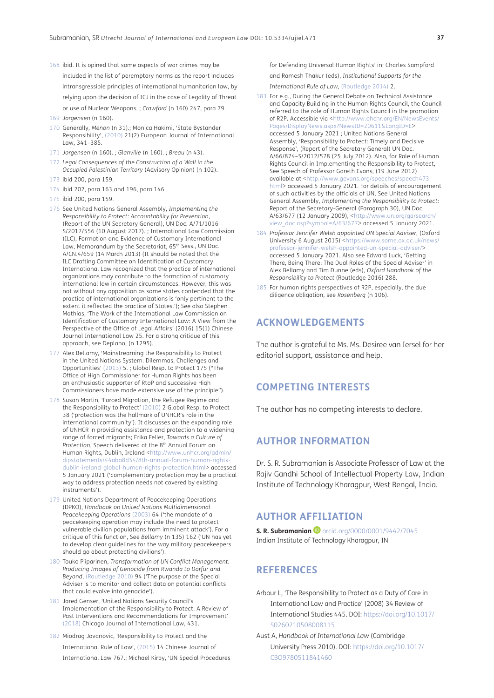- <span id="page-17-0"></span>168 ibid. It is opined that some aspects of war crimes may be included in the list of peremptory norms as the report includes intransgressible principles of international humanitarian law, by relying upon the decision of ICJ in the case of Legality of Threat or use of Nuclear Weapons*.* ; *Crawford* (n 160) 247, para 79.
- <span id="page-17-1"></span>169 *Jorgensen* (n 160).
- <span id="page-17-2"></span>170 Generally, *Menon* (n 31).; Monica Hakimi, 'State Bystander Responsibility', (2010) 21(2) European Journal of International Law, 341–385.
- <span id="page-17-3"></span>171 *Jorgensen* (n 160). ; *Glanville* (n 160). ; *Breau* (n 43).
- <span id="page-17-4"></span>172 *Legal Consequences of the Construction of a Wall in the Occupied Palestinian Territory* (Advisory Opinion) (n 102).
- <span id="page-17-5"></span>173 ibid 200, para 159.
- <span id="page-17-6"></span>174 ibid 202, para 163 and 196, para 146.
- <span id="page-17-7"></span>175 ibid 200, para 159.
- <span id="page-17-8"></span>176 See United Nations General Assembly, *Implementing the Responsibility to Protect: Accountability for Prevention*, (Report of the UN Secretary General), UN Doc. A/71/1016 – S/2017/556 (10 August 2017). ; International Law Commission (ILC), Formation and Evidence of Customary International Law, Memorandum by the Secretariat, 65<sup>th</sup> Sess., UN Doc. A/CN.4/659 (14 March 2013) (It should be noted that the ILC Drafting Committee on Identification of Customary International Law recognized that the practice of international organizations may contribute to the formation of customary international law in certain circumstances. However, this was not without any opposition as some states contended that the practice of international organizations is 'only pertinent to the extent it reflected the practice of States.'); *See* also Stephen Mathias, 'The Work of the International Law Commission on Identification of Customary International Law: A View from the Perspective of the Office of Legal Affairs' (2016) 15(1) Chinese Journal International Law 25. For a strong critique of this approach, see Deplano, (n 1295).
- <span id="page-17-9"></span>177 Alex Bellamy, 'Mainstreaming the Responsibility to Protect in the United Nations System: Dilemmas, Challenges and Opportunities' ([2013\)](#page-18-11) 5. ; Global Resp. to Protect 175 ("The Office of High Commissioner for Human Rights has been an enthusiastic supporter of RtoP and successive High Commissioners have made extensive use of the principle").
- <span id="page-17-10"></span>178 Susan Martin, 'Forced Migration, the Refugee Regime and the Responsibility to Protect' [\(2010](#page-19-15)) 2 Global Resp. to Protect 38 ('protection was the hallmark of UNHCR's role in the international community'). It discusses on the expanding role of UNHCR in providing assistance and protection to a widening range of forced migrants; Erika Feller, *Towards a Culture of Protection*, Speech delivered at the 8th Annual Forum on Human Rights, Dublin, Ireland <[http://www.unhcr.org/admin/](http://www.unhcr.org/admin/dipstatements/44aba8d54/8th-annual-forum-human-rights-dublin-ireland-global-human-rights-protection.html) [dipstatements/44aba8d54/8th-annual-forum-human-rights](http://www.unhcr.org/admin/dipstatements/44aba8d54/8th-annual-forum-human-rights-dublin-ireland-global-human-rights-protection.html)[dublin-ireland-global-human-rights-protection.html](http://www.unhcr.org/admin/dipstatements/44aba8d54/8th-annual-forum-human-rights-dublin-ireland-global-human-rights-protection.html)> accessed 5 January 2021 ('complementary protection may be a practical way to address protection needs not covered by existing instruments').
- <span id="page-17-11"></span>179 United Nations Department of Peacekeeping Operations (DPKO), *Handbook on United Nations Multidimensional Peacekeeping Operations* (2003) 64 ('the mandate of a peacekeeping operation may include the need to protect vulnerable civilian populations from imminent attack'). For a critique of this function, See *Bellamy* (n 135) 162 ('UN has yet to develop clear guidelines for the way military peacekeepers should go about protecting civilians').
- <span id="page-17-12"></span>180 Touko Piiparinen, *Transformation of UN Conflict Management: Producing Images of Genocide from Rwanda to Darfur and Beyond*, (Routledge 2010) 94 ('The purpose of the Special Adviser is to monitor and collect data on potential conflicts that could evolve into genocide').
- <span id="page-17-13"></span>181 Jared Genser, 'United Nations Security Council's Implementation of the Responsibility to Protect: A Review of Past Interventions and Recommendations for Improvement' ([2018\)](#page-18-12) Chicago Journal of International Law, 431.
- <span id="page-17-14"></span>182 Miodrag Jovanovic, 'Responsibility to Protect and the International Rule of Law', ([2015\)](#page-18-13) 14 Chinese Journal of International Law 767.; Michael Kirby, 'UN Special Procedures

for Defending Universal Human Rights' in: Charles Sampford and Ramesh Thakur (eds), *Institutional Supports for the* 

*International Rule of Law*, ([Routledge 2014](#page-18-14)) 2.

- <span id="page-17-15"></span>183 For e.g., During the General Debate on Technical Assistance and Capacity Building in the Human Rights Council, the Council referred to the role of Human Rights Council in the promotion of R2P. Accessible via <[http://www.ohchr.org/EN/NewsEvents/](http://www.ohchr.org/EN/NewsEvents/Pages/DisplayNews.aspx?NewsID=20611&LangID=E) [Pages/DisplayNews.aspx?NewsID=20611&LangID=E>](http://www.ohchr.org/EN/NewsEvents/Pages/DisplayNews.aspx?NewsID=20611&LangID=E) accessed 5 January 2021 ; United Nations General Assembly, 'Responsibility to Protect: Timely and Decisive Response', (Report of the Secretary General) UN Doc. A/66/874–S/2012/578 (25 July 2012). Also, for Role of Human Rights Council in Implementing the Responsibility to Protect, See Speech of Professor Gareth Evans, (19 June 2012) available at <[http://www.gevans.org/speeches/speech473.](http://www.gevans.org/speeches/speech473.html) [html>](http://www.gevans.org/speeches/speech473.html) accessed 5 January 2021. For details of encouragement of such activities by the officials of UN, See United Nations General Assembly, *Implementing the Responsibility to Protect*: Report of the Secretary-General (Paragraph 30), UN Doc. A/63/677 (12 January 2009), <[http://www.un.org/ga/search/](http://www.un.org/ga/search/view_doc.asp?symbol=A/63/677) [view\\_doc.asp?symbol=A/63/677>](http://www.un.org/ga/search/view_doc.asp?symbol=A/63/677) accessed 5 January 2021.
- <span id="page-17-16"></span>184 *Professor Jennifer Welsh appointed UN Special Adviser*, (Oxford University 6 August 2015) <[https://www.some.ox.ac.uk/news/](https://www.some.ox.ac.uk/news/professor-jennifer-welsh-appointed-un-special-adviser/) [professor-jennifer-welsh-appointed-un-special-adviser/](https://www.some.ox.ac.uk/news/professor-jennifer-welsh-appointed-un-special-adviser/)> accessed 5 January 2021. Also see Edward Luck, 'Getting There, Being There: The Dual Roles of the Special Adviser' in Alex Bellamy and Tim Dunne (eds), *Oxford Handbook of the Responsibility to Protect* (Routledge 2016) 288.
- <span id="page-17-17"></span>185 For human rights perspectives of R2P, especially, the due diligence obligation, see *Rosenberg* (n 106).

# **ACKNOWLEDGEMENTS**

The author is grateful to Ms. Ms. Desiree van Iersel for her editorial support, assistance and help.

# **COMPETING INTERESTS**

The author has no competing interests to declare.

# **AUTHOR INFORMATION**

Dr. S. R. Subramanian is Associate Professor of Law at the Rajiv Gandhi School of Intellectual Property Law, Indian Institute of Technology Kharagpur, West Bengal, India.

# **AUTHOR AFFILIATION**

**S. R. Subramanian D** [orcid.org/0000/0001/9442/7045](https://orcid.org/0000/0001/9442/7045) Indian Institute of Technology Kharagpur, IN

# **REFERENCES**

- <span id="page-17-18"></span>Arbour L, 'The Responsibility to Protect as a Duty of Care in International Law and Practice' (2008) 34 Review of International Studies 445. DOI: [https://doi.org/10.1017/](https://doi.org/10.1017/S0260210508008115) [S0260210508008115](https://doi.org/10.1017/S0260210508008115)
- Aust A, *Handbook of International Law* (Cambridge University Press 2010). DOI: [https://doi.org/10.1017/](https://doi.org/10.1017/CBO9780511841460) [CBO9780511841460](https://doi.org/10.1017/CBO9780511841460)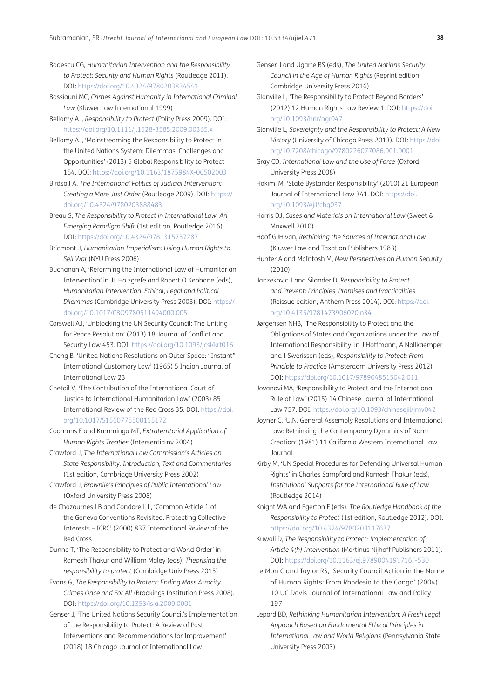- Badescu CG, *Humanitarian Intervention and the Responsibility to Protect: Security and Human Rights* (Routledge 2011). DOI:<https://doi.org/10.4324/9780203834541>
- Bassiouni MC, *Crimes Against Humanity in International Criminal Law* (Kluwer Law International 1999)
- Bellamy AJ, *Responsibility to Protect* (Polity Press 2009). DOI: <https://doi.org/10.1111/j.1528-3585.2009.00365.x>
- <span id="page-18-11"></span>Bellamy AJ, 'Mainstreaming the Responsibility to Protect in the United Nations System: Dilemmas, Challenges and Opportunities' (2013) 5 Global Responsibility to Protect 154. DOI: <https://doi.org/10.1163/1875984X-00502003>
- Birdsall A, *The International Politics of Judicial Intervention: Creating a More Just Order* (Routledge 2009). DOI: [https://](https://doi.org/10.4324/9780203888483) [doi.org/10.4324/9780203888483](https://doi.org/10.4324/9780203888483)
- Breau S, *The Responsibility to Protect in International Law: An Emerging Paradigm Shift* (1st edition, Routledge 2016). DOI:<https://doi.org/10.4324/9781315737287>
- Bricmont J, *Humanitarian Imperialism: Using Human Rights to Sell War* (NYU Press 2006)
- <span id="page-18-1"></span>Buchanan A, 'Reforming the International Law of Humanitarian Intervention' in JL Holzgrefe and Robert O Keohane (eds), *Humanitarian Intervention: Ethical, Legal and Political Dilemmas* (Cambridge University Press 2003). DOI: [https://](https://doi.org/10.1017/CBO9780511494000.005) [doi.org/10.1017/CBO9780511494000.005](https://doi.org/10.1017/CBO9780511494000.005)
- <span id="page-18-2"></span>Carswell AJ, 'Unblocking the UN Security Council: The Uniting for Peace Resolution' (2013) 18 Journal of Conflict and Security Law 453. DOI: <https://doi.org/10.1093/jcsl/krt016>
- <span id="page-18-7"></span>Cheng B, 'United Nations Resolutions on Outer Space: "Instant" International Customary Law' (1965) 5 Indian Journal of International Law 23
- <span id="page-18-4"></span>Chetail V, 'The Contribution of the International Court of Justice to International Humanitarian Law' (2003) 85 International Review of the Red Cross 35. DOI: [https://doi.](https://doi.org/10.1017/S1560775500115172) [org/10.1017/S1560775500115172](https://doi.org/10.1017/S1560775500115172)
- Coomans F and Kamminga MT, *Extraterritorial Application of Human Rights Treaties* (Intersentia nv 2004)
- Crawford J, *The International Law Commission's Articles on State Responsibility: Introduction, Text and Commentaries* (1st edition, Cambridge University Press 2002)
- <span id="page-18-5"></span>Crawford J, *Brownlie's Principles of Public International Law* (Oxford University Press 2008)
- <span id="page-18-3"></span>de Chazournes LB and Condorelli L, 'Common Article 1 of the Geneva Conventions Revisited: Protecting Collective Interests – ICRC' (2000) 837 International Review of the Red Cross
- <span id="page-18-10"></span>Dunne T, 'The Responsibility to Protect and World Order' in Ramesh Thakur and William Maley (eds), *Theorising the responsibility to protect* (Cambridge Univ Press 2015)
- Evans G, *The Responsibility to Protect: Ending Mass Atrocity Crimes Once and For All* (Brookings Institution Press 2008). DOI:<https://doi.org/10.1353/isia.2009.0001>
- <span id="page-18-12"></span>Genser J, 'The United Nations Security Council's Implementation of the Responsibility to Protect: A Review of Past Interventions and Recommendations for Improvement' (2018) 18 Chicago Journal of International Law
- Genser J and Ugarte BS (eds), *The United Nations Security Council in the Age of Human Rights* (Reprint edition, Cambridge University Press 2016)
- <span id="page-18-8"></span>Glanville L, 'The Responsibility to Protect Beyond Borders' (2012) 12 Human Rights Law Review 1. DOI: [https://doi.](https://doi.org/10.1093/hrlr/ngr047) [org/10.1093/hrlr/ngr047](https://doi.org/10.1093/hrlr/ngr047)
- Glanville L, *Sovereignty and the Responsibility to Protect: A New History* (University of Chicago Press 2013). DOI: [https://doi.](https://doi.org/10.7208/chicago/9780226077086.001.0001) [org/10.7208/chicago/9780226077086.001.0001](https://doi.org/10.7208/chicago/9780226077086.001.0001)
- Gray CD, *International Law and the Use of Force* (Oxford University Press 2008)
- Hakimi M, 'State Bystander Responsibility' (2010) 21 European Journal of International Law 341. DOI: [https://doi.](https://doi.org/10.1093/ejil/chq037) [org/10.1093/ejil/chq037](https://doi.org/10.1093/ejil/chq037)
- Harris DJ, *Cases and Materials on International Law* (Sweet & Maxwell 2010)
- Hoof GJH van, *Rethinking the Sources of International Law* (Kluwer Law and Taxation Publishers 1983)
- Hunter A and McIntosh M, *New Perspectives on Human Security* (2010)
- Janzekovic J and Silander D, *Responsibility to Protect and Prevent: Principles, Promises and Practicalities* (Reissue edition, Anthem Press 2014). DOI: [https://doi.](https://doi.org/10.4135/9781473906020.n34) [org/10.4135/9781473906020.n34](https://doi.org/10.4135/9781473906020.n34)
- <span id="page-18-9"></span>Jørgensen NHB, 'The Responsibility to Protect and the Obligations of States and Organizations under the Law of International Responsibility' in J Hoffmann, A Nollkaemper and I Swerissen (eds), *Responsibility to Protect: From Principle to Practice* (Amsterdam University Press 2012). DOI: <https://doi.org/10.1017/9789048515042.011>
- <span id="page-18-13"></span>Jovanovi MA, 'Responsibility to Protect and the International Rule of Law' (2015) 14 Chinese Journal of International Law 757. DOI: <https://doi.org/10.1093/chinesejil/jmv042>
- <span id="page-18-6"></span>Joyner C, 'U.N. General Assembly Resolutions and International Law: Rethinking the Contemporary Dynamics of Norm-Creation' (1981) 11 California Western International Law Journal
- <span id="page-18-14"></span>Kirby M, 'UN Special Procedures for Defending Universal Human Rights' in Charles Sampford and Ramesh Thakur (eds), *Institutional Supports for the International Rule of Law* (Routledge 2014)
- Knight WA and Egerton F (eds), *The Routledge Handbook of the Responsibility to Protect* (1st edition, Routledge 2012). DOI: <https://doi.org/10.4324/9780203117637>
- Kuwali D, *The Responsibility to Protect: Implementation of Article 4(h) Intervention* (Martinus Nijhoff Publishers 2011). DOI: <https://doi.org/10.1163/ej.9789004191716.i-530>
- <span id="page-18-0"></span>Le Mon C and Taylor RS, 'Security Council Action in the Name of Human Rights: From Rhodesia to the Congo' (2004) 10 UC Davis Journal of International Law and Policy 197
- Lepard BD, *Rethinking Humanitarian Intervention: A Fresh Legal Approach Based on Fundamental Ethical Principles in International Law and World Religions* (Pennsylvania State University Press 2003)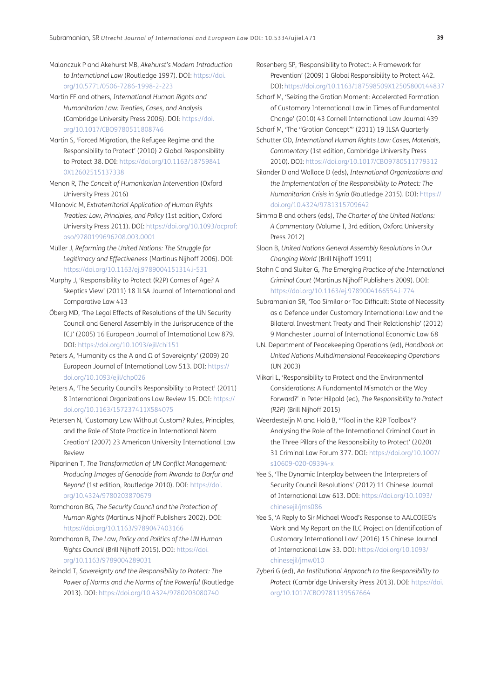<span id="page-19-7"></span>Malanczuk P and Akehurst MB, *Akehurst's Modern Introduction to International Law* (Routledge 1997). DOI: [https://doi.](https://doi.org/10.5771/0506-7286-1998-2-223) [org/10.5771/0506-7286-1998-2-223](https://doi.org/10.5771/0506-7286-1998-2-223)

Martin FF and others, *International Human Rights and Humanitarian Law: Treaties, Cases, and Analysis* (Cambridge University Press 2006). DOI: [https://doi.](https://doi.org/10.1017/CBO9780511808746) [org/10.1017/CBO9780511808746](https://doi.org/10.1017/CBO9780511808746)

<span id="page-19-15"></span>Martin S, 'Forced Migration, the Refugee Regime and the Responsibility to Protect' (2010) 2 Global Responsibility to Protect 38. DOI: [https://doi.org/10.1163/18759841](https://doi.org/10.1163/187598410X12602515137338) [0X12602515137338](https://doi.org/10.1163/187598410X12602515137338)

Menon R, *The Conceit of Humanitarian Intervention* (Oxford University Press 2016)

- Milanovic M, *Extraterritorial Application of Human Rights Treaties: Law, Principles, and Policy* (1st edition, Oxford University Press 2011). DOI: [https://doi.org/10.1093/acprof:](https://doi.org/10.1093/acprof:oso/9780199696208.003.0001) [oso/9780199696208.003.0001](https://doi.org/10.1093/acprof:oso/9780199696208.003.0001)
- <span id="page-19-0"></span>Müller J, *Reforming the United Nations: The Struggle for Legitimacy and Effectiveness* (Martinus Nijhoff 2006). DOI: <https://doi.org/10.1163/ej.9789004151314.i-531>
- <span id="page-19-4"></span>Murphy J, 'Responsibility to Protect (R2P) Comes of Age? A Skeptics View' (2011) 18 ILSA Journal of International and Comparative Law 413
- <span id="page-19-5"></span>Öberg MD, 'The Legal Effects of Resolutions of the UN Security Council and General Assembly in the Jurisprudence of the ICJ' (2005) 16 European Journal of International Law 879. DOI:<https://doi.org/10.1093/ejil/chi151>
- <span id="page-19-1"></span>Peters A, 'Humanity as the A and Ω of Sovereignty' (2009) 20 European Journal of International Law 513. DOI: [https://](https://doi.org/10.1093/ejil/chp026) [doi.org/10.1093/ejil/chp026](https://doi.org/10.1093/ejil/chp026)
- <span id="page-19-9"></span>Peters A, 'The Security Council's Responsibility to Protect' (2011) 8 International Organizations Law Review 15. DOI: [https://](https://doi.org/10.1163/157237411X584075) [doi.org/10.1163/157237411X584075](https://doi.org/10.1163/157237411X584075)
- <span id="page-19-6"></span>Petersen N, 'Customary Law Without Custom? Rules, Principles, and the Role of State Practice in International Norm Creation' (2007) 23 American University International Law Review
- Piiparinen T, *The Transformation of UN Conflict Management: Producing Images of Genocide from Rwanda to Darfur and Beyond* (1st edition, Routledge 2010). DOI: [https://doi.](https://doi.org/10.4324/9780203870679) [org/10.4324/9780203870679](https://doi.org/10.4324/9780203870679)

Ramcharan BG, *The Security Council and the Protection of Human Rights* (Martinus Nijhoff Publishers 2002). DOI: <https://doi.org/10.1163/9789047403166>

Ramcharan B, *The Law, Policy and Politics of the UN Human Rights Council* (Brill Nijhoff 2015). DOI: [https://doi.](https://doi.org/10.1163/9789004289031) [org/10.1163/9789004289031](https://doi.org/10.1163/9789004289031)

Reinold T, *Sovereignty and the Responsibility to Protect: The Power of Norms and the Norms of the Powerful* (Routledge 2013). DOI:<https://doi.org/10.4324/9780203080740>

<span id="page-19-2"></span>Rosenberg SP, 'Responsibility to Protect: A Framework for Prevention' (2009) 1 Global Responsibility to Protect 442. DOI:<https://doi.org/10.1163/187598509X12505800144837>

- <span id="page-19-11"></span>Scharf M, 'Seizing the Grotian Moment: Accelerated Formation of Customary International Law in Times of Fundamental Change' (2010) 43 Cornell International Law Journal 439 Scharf M, 'The "Grotian Concept"' (2011) 19 ILSA Quarterly
- <span id="page-19-12"></span>Schutter OD, *International Human Rights Law: Cases, Materials, Commentary* (1st edition, Cambridge University Press 2010). DOI:<https://doi.org/10.1017/CBO9780511779312>
- Silander D and Wallace D (eds), *International Organizations and the Implementation of the Responsibility to Protect: The Humanitarian Crisis in Syria* (Routledge 2015). DOI: [https://](https://doi.org/10.4324/9781315709642) [doi.org/10.4324/9781315709642](https://doi.org/10.4324/9781315709642)
- Simma B and others (eds), *The Charter of the United Nations: A Commentary* (Volume I, 3rd edition, Oxford University Press 2012)
- Sloan B, *United Nations General Assembly Resolutions in Our Changing World* (Brill Nijhoff 1991)
- Stahn C and Sluiter G, *The Emerging Practice of the International Criminal Court* (Martinus Nijhoff Publishers 2009). DOI: <https://doi.org/10.1163/ej.9789004166554.i-774>
- <span id="page-19-14"></span>Subramanian SR, 'Too Similar or Too Difficult: State of Necessity as a Defence under Customary International Law and the Bilateral Investment Treaty and Their Relationship' (2012) 9 Manchester Journal of International Economic Law 68
- UN. Department of Peacekeeping Operations (ed), *Handbook on United Nations Multidimensional Peacekeeping Operations* (UN 2003)
- <span id="page-19-13"></span>Viikari L, 'Responsibility to Protect and the Environmental Considerations: A Fundamental Mismatch or the Way Forward?' in Peter Hilpold (ed), *The Responsibility to Protect (R2P)* (Brill Nijhoff 2015)
- <span id="page-19-3"></span>Weerdesteijn M and Holá B, '"Tool in the R2P Toolbox"? Analysing the Role of the International Criminal Court in the Three Pillars of the Responsibility to Protect' (2020) 31 Criminal Law Forum 377. DOI: [https://doi.org/10.1007/](https://doi.org/10.1007/s10609-020-09394-x) [s10609-020-09394-x](https://doi.org/10.1007/s10609-020-09394-x)
- <span id="page-19-10"></span>Yee S, 'The Dynamic Interplay between the Interpreters of Security Council Resolutions' (2012) 11 Chinese Journal of International Law 613. DOI: [https://doi.org/10.1093/](https://doi.org/10.1093/chinesejil/jms086) [chinesejil/jms086](https://doi.org/10.1093/chinesejil/jms086)
- <span id="page-19-8"></span>Yee S, 'A Reply to Sir Michael Wood's Response to AALCOIEG's Work and My Report on the ILC Project on Identification of Customary International Law' (2016) 15 Chinese Journal of International Law 33. DOI: [https://doi.org/10.1093/](https://doi.org/10.1093/chinesejil/jmw010) [chinesejil/jmw010](https://doi.org/10.1093/chinesejil/jmw010)
- Zyberi G (ed), *An Institutional Approach to the Responsibility to Protect* (Cambridge University Press 2013). DOI: [https://doi.](https://doi.org/10.1017/CBO9781139567664) [org/10.1017/CBO9781139567664](https://doi.org/10.1017/CBO9781139567664)